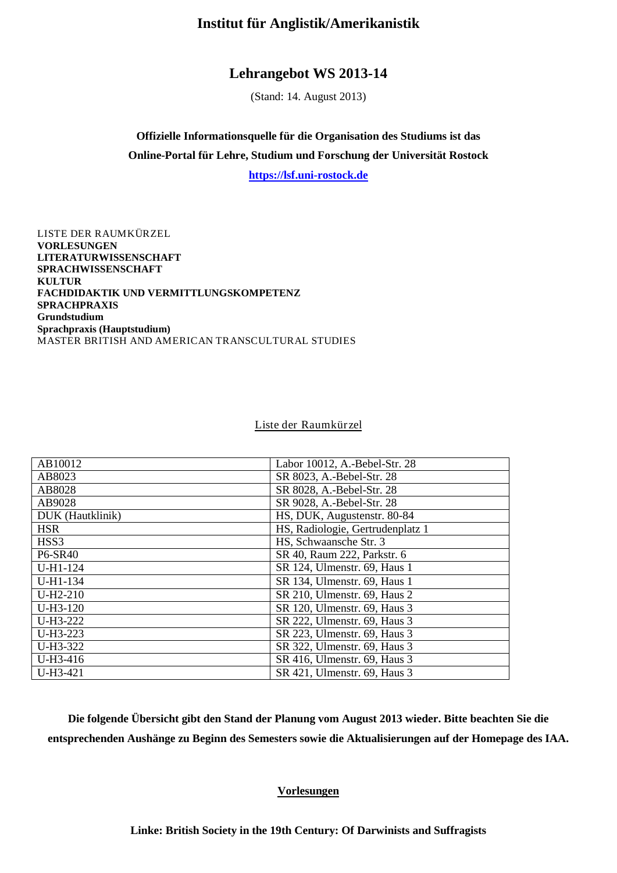# **Institut für Anglistik/Amerikanistik**

# **Lehrangebot WS 2013-14**

(Stand: 14. August 2013)

**Offizielle Informationsquelle für die Organisation des Studiums ist das Online-Portal für Lehre, Studium und Forschung der Universität Rostock**

**[https://lsf.uni-rostock.de](https://lsf.uni-rostock.de/)**

[LISTE DER RAUMKÜRZEL](#page-0-0) **[VORLESUNGEN](#page-0-1) [LITERATURWISSENSCHAFT](#page-1-0) [SPRACHWISSENSCHAFT](#page-6-0) [KULTUR](#page-9-0) [FACHDIDAKTIK UND VERMITTLUNGSKOMPETENZ](#page-12-0) [SPRACHPRAXIS](#page-15-0) [Grundstudium](#page-15-1) [Sprachpraxis \(Hauptstudium\)](#page-18-0)** [MASTER BRITISH AND AMERICAN TRANSCULTURAL STUDIES](#page-20-0)

## Liste der Raumkürzel

<span id="page-0-0"></span>

| AB10012          | Labor 10012, A.-Bebel-Str. 28    |
|------------------|----------------------------------|
| AB8023           | SR 8023, A.-Bebel-Str. 28        |
| AB8028           | SR 8028, A.-Bebel-Str. 28        |
| AB9028           | SR 9028, A.-Bebel-Str. 28        |
| DUK (Hautklinik) | HS, DUK, Augustenstr. 80-84      |
| <b>HSR</b>       | HS, Radiologie, Gertrudenplatz 1 |
| HSS3             | HS, Schwaansche Str. 3           |
| <b>P6-SR40</b>   | SR 40, Raum 222, Parkstr. 6      |
| U-H1-124         | SR 124, Ulmenstr. 69, Haus 1     |
| U-H1-134         | SR 134, Ulmenstr. 69, Haus 1     |
| $U-H2-210$       | SR 210, Ulmenstr. 69, Haus 2     |
| $U-H3-120$       | SR 120, Ulmenstr. 69, Haus 3     |
| U-H3-222         | SR 222, Ulmenstr. 69, Haus 3     |
| U-H3-223         | SR 223, Ulmenstr. 69, Haus 3     |
| U-H3-322         | SR 322, Ulmenstr. 69, Haus 3     |
| U-H3-416         | SR 416, Ulmenstr. 69, Haus 3     |
| U-H3-421         | SR 421, Ulmenstr. 69, Haus 3     |

<span id="page-0-1"></span>**Die folgende Übersicht gibt den Stand der Planung vom August 2013 wieder. Bitte beachten Sie die entsprechenden Aushänge zu Beginn des Semesters sowie die Aktualisierungen auf der Homepage des IAA.**

# **Vorlesungen**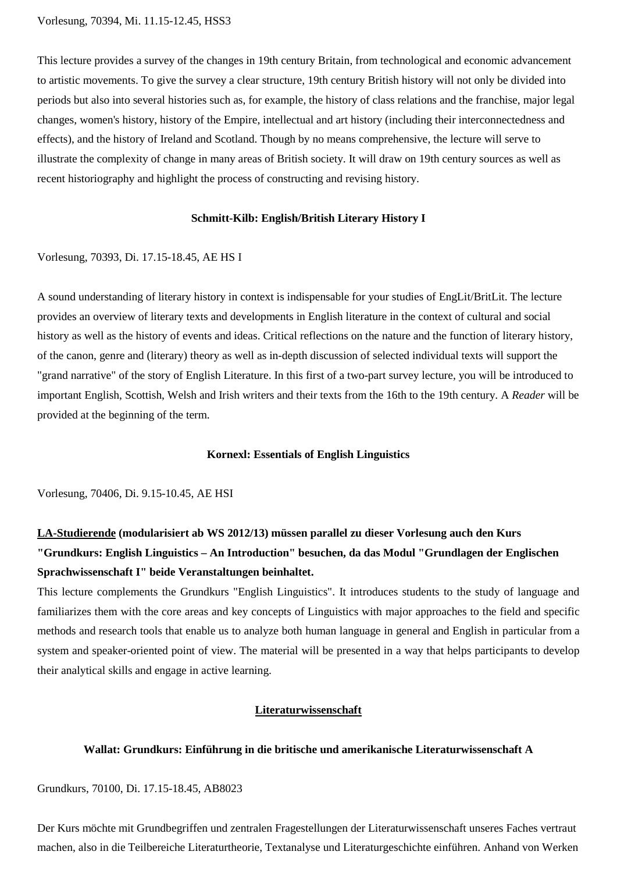This lecture provides a survey of the changes in 19th century Britain, from technological and economic advancement to artistic movements. To give the survey a clear structure, 19th century British history will not only be divided into periods but also into several histories such as, for example, the history of class relations and the franchise, major legal changes, women's history, history of the Empire, intellectual and art history (including their interconnectedness and effects), and the history of Ireland and Scotland. Though by no means comprehensive, the lecture will serve to illustrate the complexity of change in many areas of British society. It will draw on 19th century sources as well as recent historiography and highlight the process of constructing and revising history.

### **Schmitt-Kilb: English/British Literary History I**

Vorlesung, 70393, Di. 17.15-18.45, AE HS I

A sound understanding of literary history in context is indispensable for your studies of EngLit/BritLit. The lecture provides an overview of literary texts and developments in English literature in the context of cultural and social history as well as the history of events and ideas. Critical reflections on the nature and the function of literary history, of the canon, genre and (literary) theory as well as in-depth discussion of selected individual texts will support the "grand narrative" of the story of English Literature. In this first of a two-part survey lecture, you will be introduced to important English, Scottish, Welsh and Irish writers and their texts from the 16th to the 19th century. A *Reader* will be provided at the beginning of the term.

#### **Kornexl: Essentials of English Linguistics**

Vorlesung, 70406, Di. 9.15-10.45, AE HSI

# **LA-Studierende (modularisiert ab WS 2012/13) müssen parallel zu dieser Vorlesung auch den Kurs "Grundkurs: English Linguistics – An Introduction" besuchen, da das Modul "Grundlagen der Englischen Sprachwissenschaft I" beide Veranstaltungen beinhaltet.**

This lecture complements the Grundkurs "English Linguistics". It introduces students to the study of language and familiarizes them with the core areas and key concepts of Linguistics with major approaches to the field and specific methods and research tools that enable us to analyze both human language in general and English in particular from a system and speaker-oriented point of view. The material will be presented in a way that helps participants to develop their analytical skills and engage in active learning.

### **Literaturwissenschaft**

# <span id="page-1-0"></span>**Wallat: Grundkurs: Einführung in die britische und amerikanische Literaturwissenschaft A**

Grundkurs, 70100, Di. 17.15-18.45, AB8023

Der Kurs möchte mit Grundbegriffen und zentralen Fragestellungen der Literaturwissenschaft unseres Faches vertraut machen, also in die Teilbereiche Literaturtheorie, Textanalyse und Literaturgeschichte einführen. Anhand von Werken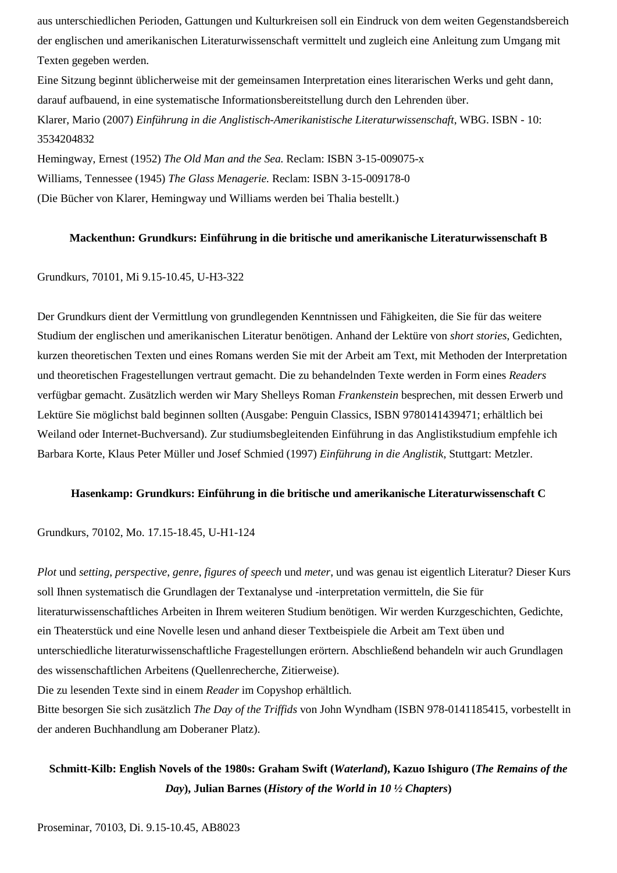aus unterschiedlichen Perioden, Gattungen und Kulturkreisen soll ein Eindruck von dem weiten Gegenstandsbereich der englischen und amerikanischen Literaturwissenschaft vermittelt und zugleich eine Anleitung zum Umgang mit Texten gegeben werden.

Eine Sitzung beginnt üblicherweise mit der gemeinsamen Interpretation eines literarischen Werks und geht dann, darauf aufbauend, in eine systematische Informationsbereitstellung durch den Lehrenden über. Klarer, Mario (2007) *Einführung in die Anglistisch-Amerikanistische Literaturwissenschaft*, WBG. ISBN - 10: 3534204832

Hemingway, Ernest (1952) *The Old Man and the Sea.* Reclam: ISBN 3-15-009075-x Williams, Tennessee (1945) *The Glass Menagerie.* Reclam: ISBN 3-15-009178-0 (Die Bücher von Klarer, Hemingway und Williams werden bei Thalia bestellt.)

## **Mackenthun: Grundkurs: Einführung in die britische und amerikanische Literaturwissenschaft B**

## Grundkurs, 70101, Mi 9.15-10.45, U-H3-322

Der Grundkurs dient der Vermittlung von grundlegenden Kenntnissen und Fähigkeiten, die Sie für das weitere Studium der englischen und amerikanischen Literatur benötigen. Anhand der Lektüre von *short stories*, Gedichten, kurzen theoretischen Texten und eines Romans werden Sie mit der Arbeit am Text, mit Methoden der Interpretation und theoretischen Fragestellungen vertraut gemacht. Die zu behandelnden Texte werden in Form eines *Readers* verfügbar gemacht. Zusätzlich werden wir Mary Shelleys Roman *Frankenstein* besprechen, mit dessen Erwerb und Lektüre Sie möglichst bald beginnen sollten (Ausgabe: Penguin Classics, ISBN 9780141439471; erhältlich bei Weiland oder Internet-Buchversand). Zur studiumsbegleitenden Einführung in das Anglistikstudium empfehle ich Barbara Korte, Klaus Peter Müller und Josef Schmied (1997) *Einführung in die Anglistik*, Stuttgart: Metzler.

### **Hasenkamp: Grundkurs: Einführung in die britische und amerikanische Literaturwissenschaft C**

Grundkurs, 70102, Mo. 17.15-18.45, U-H1-124

*Plot* und *setting*, *perspective*, *genre*, *figures of speech* und *meter*, und was genau ist eigentlich Literatur? Dieser Kurs soll Ihnen systematisch die Grundlagen der Textanalyse und -interpretation vermitteln, die Sie für literaturwissenschaftliches Arbeiten in Ihrem weiteren Studium benötigen. Wir werden Kurzgeschichten, Gedichte, ein Theaterstück und eine Novelle lesen und anhand dieser Textbeispiele die Arbeit am Text üben und unterschiedliche literaturwissenschaftliche Fragestellungen erörtern. Abschließend behandeln wir auch Grundlagen des wissenschaftlichen Arbeitens (Quellenrecherche, Zitierweise).

Die zu lesenden Texte sind in einem *Reader* im Copyshop erhältlich.

Bitte besorgen Sie sich zusätzlich *The Day of the Triffids* von John Wyndham (ISBN 978-0141185415, vorbestellt in der anderen Buchhandlung am Doberaner Platz).

# **Schmitt-Kilb: English Novels of the 1980s: Graham Swift (***Waterland***), Kazuo Ishiguro (***The Remains of the Day***), Julian Barnes (***History of the World in 10 ½ Chapters***)**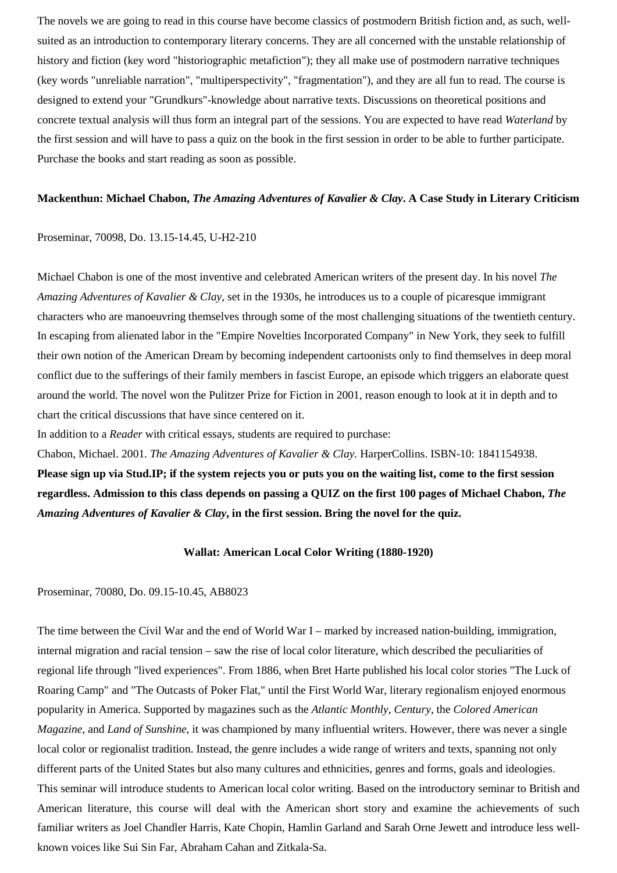The novels we are going to read in this course have become classics of postmodern British fiction and, as such, wellsuited as an introduction to contemporary literary concerns. They are all concerned with the unstable relationship of history and fiction (key word "historiographic metafiction"); they all make use of postmodern narrative techniques (key words "unreliable narration", "multiperspectivity", "fragmentation"), and they are all fun to read. The course is designed to extend your "Grundkurs"-knowledge about narrative texts. Discussions on theoretical positions and concrete textual analysis will thus form an integral part of the sessions. You are expected to have read *Waterland* by the first session and will have to pass a quiz on the book in the first session in order to be able to further participate. Purchase the books and start reading as soon as possible.

## **Mackenthun: Michael Chabon,** *The Amazing Adventures of Kavalier & Clay***. A Case Study in Literary Criticism**

### Proseminar, 70098, Do. 13.15-14.45, U-H2-210

Michael Chabon is one of the most inventive and celebrated American writers of the present day. In his novel *The Amazing Adventures of Kavalier & Clay,* set in the 1930s, he introduces us to a couple of picaresque immigrant characters who are manoeuvring themselves through some of the most challenging situations of the twentieth century. In escaping from alienated labor in the "Empire Novelties Incorporated Company" in New York, they seek to fulfill their own notion of the American Dream by becoming independent cartoonists only to find themselves in deep moral conflict due to the sufferings of their family members in fascist Europe, an episode which triggers an elaborate quest around the world. The novel won the Pulitzer Prize for Fiction in 2001, reason enough to look at it in depth and to chart the critical discussions that have since centered on it.

In addition to a *Reader* with critical essays, students are required to purchase:

Chabon, Michael. 2001. *The Amazing Adventures of Kavalier & Clay.* HarperCollins. ISBN-10: 1841154938. **Please sign up via Stud.IP; if the system rejects you or puts you on the waiting list, come to the first session regardless. Admission to this class depends on passing a QUIZ on the first 100 pages of Michael Chabon,** *The Amazing Adventures of Kavalier & Clay***, in the first session. Bring the novel for the quiz.**

### **Wallat: American Local Color Writing (1880-1920)**

Proseminar, 70080, Do. 09.15-10.45, AB8023

The time between the Civil War and the end of World War I – marked by increased nation-building, immigration, internal migration and racial tension – saw the rise of local color literature, which described the peculiarities of regional life through "lived experiences". From 1886, when Bret Harte published his local color stories "The Luck of Roaring Camp" and "The Outcasts of Poker Flat," until the First World War, literary regionalism enjoyed enormous popularity in America. Supported by magazines such as the *Atlantic Monthly*, *Century*, the *Colored American Magazine*, and *Land of Sunshine*, it was championed by many influential writers. However, there was never a single local color or regionalist tradition. Instead, the genre includes a wide range of writers and texts, spanning not only different parts of the United States but also many cultures and ethnicities, genres and forms, goals and ideologies. This seminar will introduce students to American local color writing. Based on the introductory seminar to British and American literature, this course will deal with the American short story and examine the achievements of such familiar writers as Joel Chandler Harris, Kate Chopin, Hamlin Garland and Sarah Orne Jewett and introduce less wellknown voices like Sui Sin Far, Abraham Cahan and Zitkala-Sa.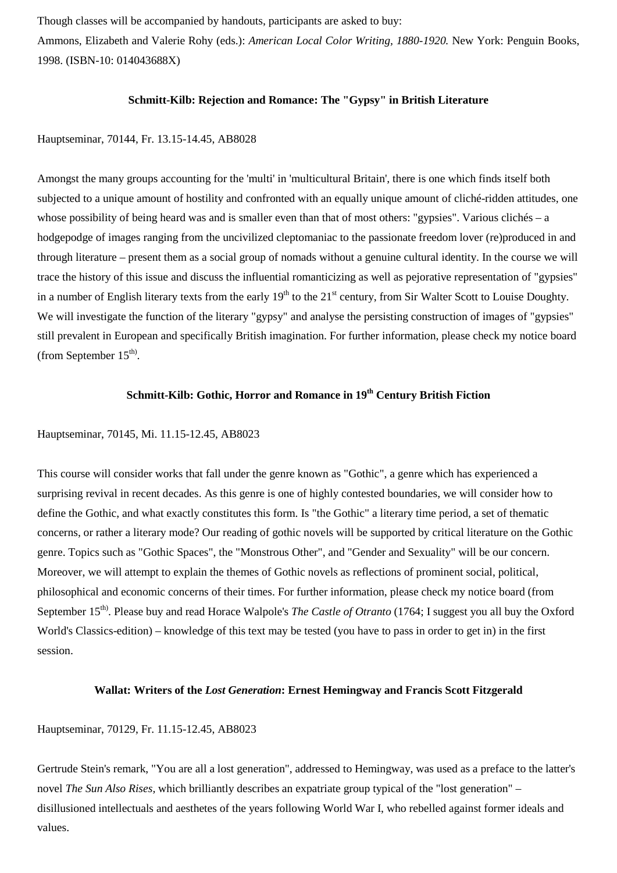Though classes will be accompanied by handouts, participants are asked to buy:

Ammons, Elizabeth and Valerie Rohy (eds.): *American Local Color Writing, 1880-1920.* New York: Penguin Books, 1998. (ISBN-10: 014043688X)

## **Schmitt-Kilb: Rejection and Romance: The "Gypsy" in British Literature**

## Hauptseminar, 70144, Fr. 13.15-14.45, AB8028

Amongst the many groups accounting for the 'multi' in 'multicultural Britain', there is one which finds itself both subjected to a unique amount of hostility and confronted with an equally unique amount of cliché-ridden attitudes, one whose possibility of being heard was and is smaller even than that of most others: "gypsies". Various clichés – a hodgepodge of images ranging from the uncivilized cleptomaniac to the passionate freedom lover (re)produced in and through literature – present them as a social group of nomads without a genuine cultural identity. In the course we will trace the history of this issue and discuss the influential romanticizing as well as pejorative representation of "gypsies" in a number of English literary texts from the early  $19<sup>th</sup>$  to the  $21<sup>st</sup>$  century, from Sir Walter Scott to Louise Doughty. We will investigate the function of the literary "gypsy" and analyse the persisting construction of images of "gypsies" still prevalent in European and specifically British imagination. For further information, please check my notice board (from September  $15<sup>th</sup>$ ).

# **Schmitt-Kilb: Gothic, Horror and Romance in 19th Century British Fiction**

## Hauptseminar, 70145, Mi. 11.15-12.45, AB8023

This course will consider works that fall under the genre known as "Gothic", a genre which has experienced a surprising revival in recent decades. As this genre is one of highly contested boundaries, we will consider how to define the Gothic, and what exactly constitutes this form. Is "the Gothic" a literary time period, a set of thematic concerns, or rather a literary mode? Our reading of gothic novels will be supported by critical literature on the Gothic genre. Topics such as "Gothic Spaces", the "Monstrous Other", and "Gender and Sexuality" will be our concern. Moreover, we will attempt to explain the themes of Gothic novels as reflections of prominent social, political, philosophical and economic concerns of their times. For further information, please check my notice board (from September 15<sup>th)</sup>. Please buy and read Horace Walpole's *The Castle of Otranto* (1764; I suggest you all buy the Oxford World's Classics-edition) – knowledge of this text may be tested (you have to pass in order to get in) in the first session.

# **Wallat: Writers of the** *Lost Generation***: Ernest Hemingway and Francis Scott Fitzgerald**

### Hauptseminar, 70129, Fr. 11.15-12.45, AB8023

Gertrude Stein's remark, "You are all a lost generation", addressed to Hemingway, was used as a preface to the latter's novel *The Sun Also Rises,* which brilliantly describes an expatriate group typical of the "lost generation" – disillusioned intellectuals and aesthetes of the years following World War I, who rebelled against former ideals and values.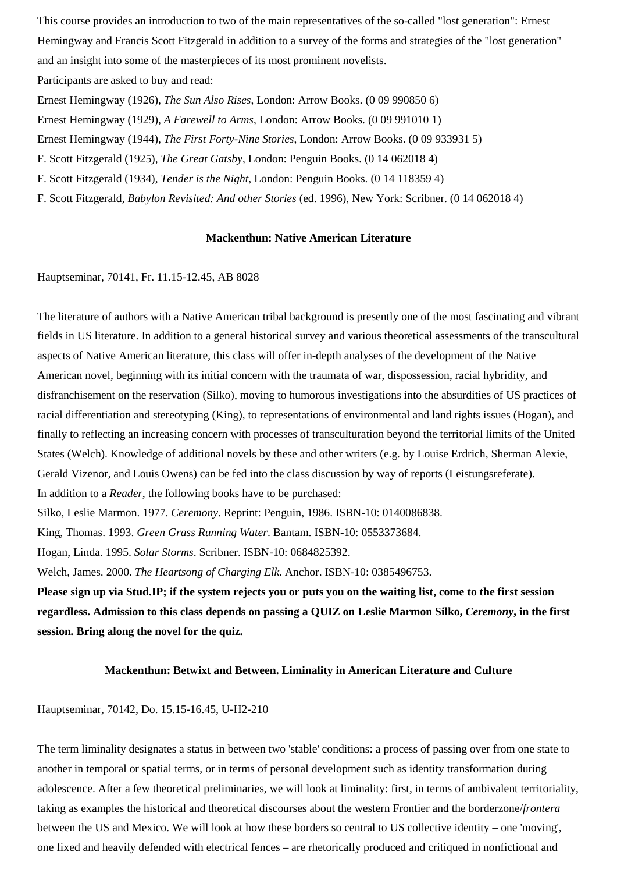This course provides an introduction to two of the main representatives of the so-called "lost generation": Ernest Hemingway and Francis Scott Fitzgerald in addition to a survey of the forms and strategies of the "lost generation" and an insight into some of the masterpieces of its most prominent novelists. Participants are asked to buy and read:

Ernest Hemingway (1926), *The Sun Also Rises*, London: Arrow Books. (0 09 990850 6) Ernest Hemingway (1929), *A Farewell to Arms*, London: Arrow Books. (0 09 991010 1) Ernest Hemingway (1944), *The First Forty-Nine Stories*, London: Arrow Books. (0 09 933931 5) F. Scott Fitzgerald (1925), *The Great Gatsby*, London: Penguin Books. (0 14 062018 4) F. Scott Fitzgerald (1934), *Tender is the Night*, London: Penguin Books. (0 14 118359 4) F. Scott Fitzgerald, *Babylon Revisited: And other Stories* (ed. 1996), New York: Scribner. (0 14 062018 4)

### **Mackenthun: Native American Literature**

Hauptseminar, 70141, Fr. 11.15-12.45, AB 8028

The literature of authors with a Native American tribal background is presently one of the most fascinating and vibrant fields in US literature. In addition to a general historical survey and various theoretical assessments of the transcultural aspects of Native American literature, this class will offer in-depth analyses of the development of the Native American novel, beginning with its initial concern with the traumata of war, dispossession, racial hybridity, and disfranchisement on the reservation (Silko), moving to humorous investigations into the absurdities of US practices of racial differentiation and stereotyping (King), to representations of environmental and land rights issues (Hogan), and finally to reflecting an increasing concern with processes of transculturation beyond the territorial limits of the United States (Welch). Knowledge of additional novels by these and other writers (e.g. by Louise Erdrich, Sherman Alexie, Gerald Vizenor, and Louis Owens) can be fed into the class discussion by way of reports (Leistungsreferate). In addition to a *Reader*, the following books have to be purchased:

Silko, Leslie Marmon. 1977. *Ceremony*. Reprint: Penguin, 1986. ISBN-10: 0140086838.

King, Thomas. 1993. *Green Grass Running Water*. Bantam. ISBN-10: 0553373684.

Hogan, Linda. 1995. *Solar Storms*. Scribner. ISBN-10: 0684825392.

Welch, James. 2000. *The Heartsong of Charging Elk*. Anchor. ISBN-10: 0385496753.

**Please sign up via Stud.IP; if the system rejects you or puts you on the waiting list, come to the first session regardless. Admission to this class depends on passing a QUIZ on Leslie Marmon Silko,** *Ceremony***, in the first session***.* **Bring along the novel for the quiz.**

### **Mackenthun: Betwixt and Between. Liminality in American Literature and Culture**

## Hauptseminar, 70142, Do. 15.15-16.45, U-H2-210

The term liminality designates a status in between two 'stable' conditions: a process of passing over from one state to another in temporal or spatial terms, or in terms of personal development such as identity transformation during adolescence. After a few theoretical preliminaries, we will look at liminality: first, in terms of ambivalent territoriality, taking as examples the historical and theoretical discourses about the western Frontier and the borderzone/*frontera* between the US and Mexico. We will look at how these borders so central to US collective identity – one 'moving', one fixed and heavily defended with electrical fences – are rhetorically produced and critiqued in nonfictional and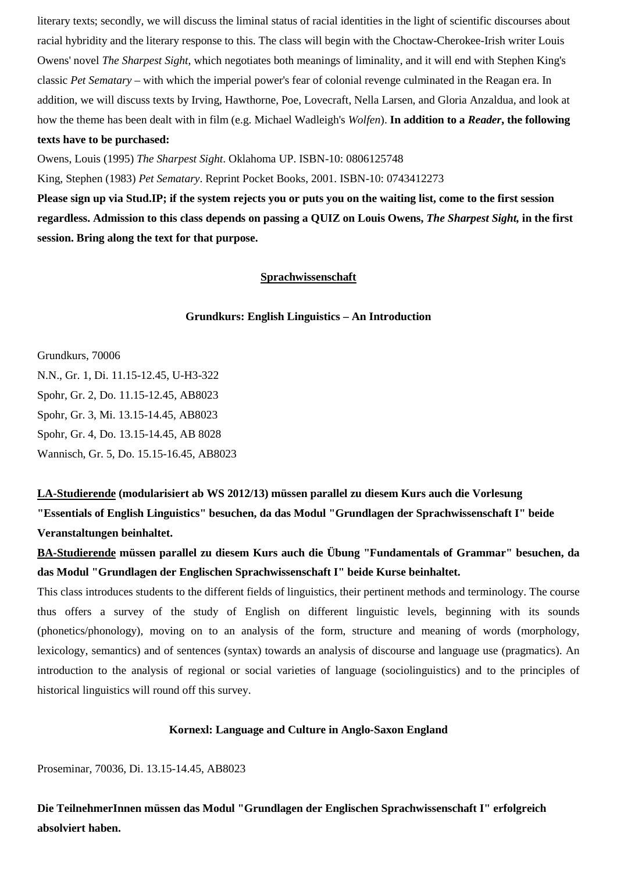literary texts; secondly, we will discuss the liminal status of racial identities in the light of scientific discourses about racial hybridity and the literary response to this. The class will begin with the Choctaw-Cherokee-Irish writer Louis Owens' novel *The Sharpest Sight*, which negotiates both meanings of liminality, and it will end with Stephen King's classic *Pet Sematary* – with which the imperial power's fear of colonial revenge culminated in the Reagan era. In addition, we will discuss texts by Irving, Hawthorne, Poe, Lovecraft, Nella Larsen, and Gloria Anzaldua, and look at how the theme has been dealt with in film (e.g. Michael Wadleigh's *Wolfen*). **In addition to a** *Reader***, the following texts have to be purchased:**

Owens, Louis (1995) *The Sharpest Sight*. Oklahoma UP. ISBN-10: 0806125748

King, Stephen (1983) *Pet Sematary*. Reprint Pocket Books, 2001. ISBN-10: 0743412273

<span id="page-6-0"></span>**Please sign up via Stud.IP; if the system rejects you or puts you on the waiting list, come to the first session regardless. Admission to this class depends on passing a QUIZ on Louis Owens,** *The Sharpest Sight,* **in the first session. Bring along the text for that purpose.**

# **Sprachwissenschaft**

## **Grundkurs: English Linguistics – An Introduction**

Grundkurs, 70006

N.N., Gr. 1, Di. 11.15-12.45, U-H3-322 Spohr, Gr. 2, Do. 11.15-12.45, AB8023 Spohr, Gr. 3, Mi. 13.15-14.45, AB8023 Spohr, Gr. 4, Do. 13.15-14.45, AB 8028 Wannisch, Gr. 5, Do. 15.15-16.45, AB8023

**LA-Studierende (modularisiert ab WS 2012/13) müssen parallel zu diesem Kurs auch die Vorlesung "Essentials of English Linguistics" besuchen, da das Modul "Grundlagen der Sprachwissenschaft I" beide Veranstaltungen beinhaltet.**

**BA-Studierende müssen parallel zu diesem Kurs auch die Übung "Fundamentals of Grammar" besuchen, da das Modul "Grundlagen der Englischen Sprachwissenschaft I" beide Kurse beinhaltet.**

This class introduces students to the different fields of linguistics, their pertinent methods and terminology. The course thus offers a survey of the study of English on different linguistic levels, beginning with its sounds (phonetics/phonology), moving on to an analysis of the form, structure and meaning of words (morphology, lexicology, semantics) and of sentences (syntax) towards an analysis of discourse and language use (pragmatics). An introduction to the analysis of regional or social varieties of language (sociolinguistics) and to the principles of historical linguistics will round off this survey.

## **Kornexl: Language and Culture in Anglo-Saxon England**

Proseminar, 70036, Di. 13.15-14.45, AB8023

**Die TeilnehmerInnen müssen das Modul "Grundlagen der Englischen Sprachwissenschaft I" erfolgreich absolviert haben.**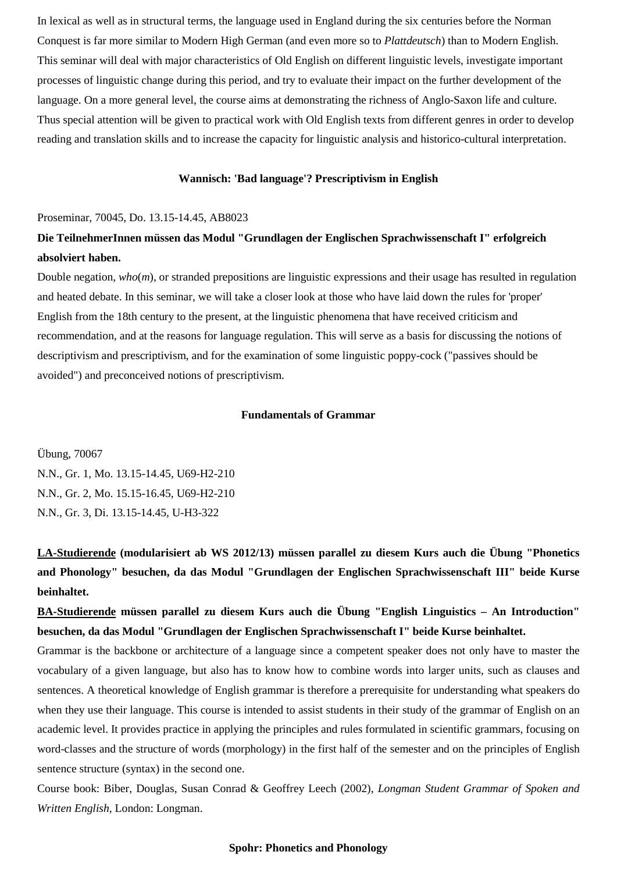In lexical as well as in structural terms, the language used in England during the six centuries before the Norman Conquest is far more similar to Modern High German (and even more so to *Plattdeutsch*) than to Modern English. This seminar will deal with major characteristics of Old English on different linguistic levels, investigate important processes of linguistic change during this period, and try to evaluate their impact on the further development of the language. On a more general level, the course aims at demonstrating the richness of Anglo-Saxon life and culture. Thus special attention will be given to practical work with Old English texts from different genres in order to develop reading and translation skills and to increase the capacity for linguistic analysis and historico-cultural interpretation.

## **Wannisch: 'Bad language'? Prescriptivism in English**

#### Proseminar, 70045, Do. 13.15-14.45, AB8023

# **Die TeilnehmerInnen müssen das Modul "Grundlagen der Englischen Sprachwissenschaft I" erfolgreich absolviert haben.**

Double negation, *who*(*m*), or stranded prepositions are linguistic expressions and their usage has resulted in regulation and heated debate. In this seminar, we will take a closer look at those who have laid down the rules for 'proper' English from the 18th century to the present, at the linguistic phenomena that have received criticism and recommendation, and at the reasons for language regulation. This will serve as a basis for discussing the notions of descriptivism and prescriptivism, and for the examination of some linguistic poppy-cock ("passives should be avoided") and preconceived notions of prescriptivism.

## **Fundamentals of Grammar**

Übung, 70067 N.N., Gr. 1, Mo. 13.15-14.45, U69-H2-210 N.N., Gr. 2, Mo. 15.15-16.45, U69-H2-210 N.N., Gr. 3, Di. 13.15-14.45, U-H3-322

**LA-Studierende (modularisiert ab WS 2012/13) müssen parallel zu diesem Kurs auch die Übung "Phonetics and Phonology" besuchen, da das Modul "Grundlagen der Englischen Sprachwissenschaft III" beide Kurse beinhaltet.**

**BA-Studierende müssen parallel zu diesem Kurs auch die Übung "English Linguistics – An Introduction" besuchen, da das Modul "Grundlagen der Englischen Sprachwissenschaft I" beide Kurse beinhaltet.**

Grammar is the backbone or architecture of a language since a competent speaker does not only have to master the vocabulary of a given language, but also has to know how to combine words into larger units, such as clauses and sentences. A theoretical knowledge of English grammar is therefore a prerequisite for understanding what speakers do when they use their language. This course is intended to assist students in their study of the grammar of English on an academic level. It provides practice in applying the principles and rules formulated in scientific grammars, focusing on word-classes and the structure of words (morphology) in the first half of the semester and on the principles of English sentence structure (syntax) in the second one.

Course book: Biber, Douglas, Susan Conrad & Geoffrey Leech (2002), *Longman Student Grammar of Spoken and Written English*, London: Longman.

## **Spohr: Phonetics and Phonology**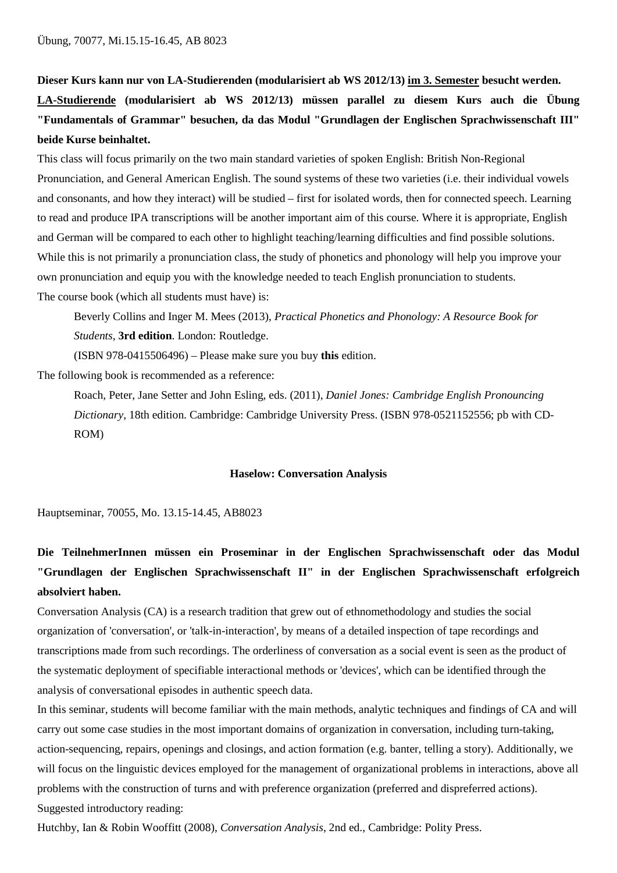**Dieser Kurs kann nur von LA-Studierenden (modularisiert ab WS 2012/13) im 3. Semester besucht werden. LA-Studierende (modularisiert ab WS 2012/13) müssen parallel zu diesem Kurs auch die Übung "Fundamentals of Grammar" besuchen, da das Modul "Grundlagen der Englischen Sprachwissenschaft III" beide Kurse beinhaltet.**

This class will focus primarily on the two main standard varieties of spoken English: British Non-Regional Pronunciation, and General American English. The sound systems of these two varieties (i.e. their individual vowels and consonants, and how they interact) will be studied – first for isolated words, then for connected speech. Learning to read and produce IPA transcriptions will be another important aim of this course. Where it is appropriate, English and German will be compared to each other to highlight teaching/learning difficulties and find possible solutions. While this is not primarily a pronunciation class, the study of phonetics and phonology will help you improve your own pronunciation and equip you with the knowledge needed to teach English pronunciation to students. The course book (which all students must have) is:

Beverly Collins and Inger M. Mees (2013), *Practical Phonetics and Phonology: A Resource Book for Students*, **3rd edition**. London: Routledge.

(ISBN 978-0415506496) – Please make sure you buy **this** edition.

The following book is recommended as a reference:

Roach, Peter, Jane Setter and John Esling, eds. (2011), *Daniel Jones: Cambridge English Pronouncing Dictionary*, 18th edition. Cambridge: Cambridge University Press. (ISBN 978-0521152556; pb with CD-ROM)

### **Haselow: Conversation Analysis**

Hauptseminar, 70055, Mo. 13.15-14.45, AB8023

# **Die TeilnehmerInnen müssen ein Proseminar in der Englischen Sprachwissenschaft oder das Modul "Grundlagen der Englischen Sprachwissenschaft II" in der Englischen Sprachwissenschaft erfolgreich absolviert haben.**

Conversation Analysis (CA) is a research tradition that grew out of ethnomethodology and studies the social organization of 'conversation', or 'talk-in-interaction', by means of a detailed inspection of tape recordings and transcriptions made from such recordings. The orderliness of conversation as a social event is seen as the product of the systematic deployment of specifiable interactional methods or 'devices', which can be identified through the analysis of conversational episodes in authentic speech data.

In this seminar, students will become familiar with the main methods, analytic techniques and findings of CA and will carry out some case studies in the most important domains of organization in conversation, including turn-taking, action-sequencing, repairs, openings and closings, and action formation (e.g. banter, telling a story). Additionally, we will focus on the linguistic devices employed for the management of organizational problems in interactions, above all problems with the construction of turns and with preference organization (preferred and dispreferred actions). Suggested introductory reading:

Hutchby, Ian & Robin Wooffitt (2008), *Conversation Analysis*, 2nd ed., Cambridge: Polity Press.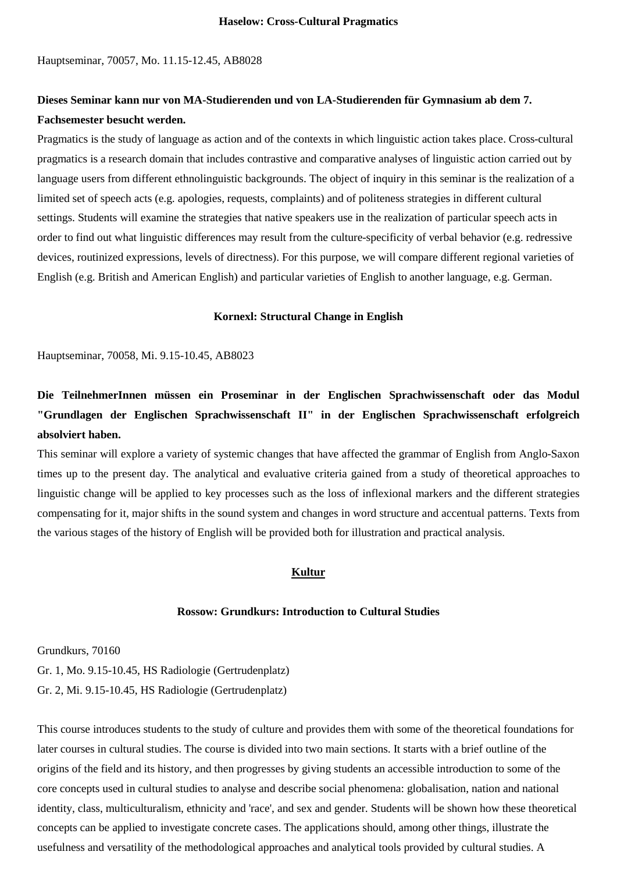Hauptseminar, 70057, Mo. 11.15-12.45, AB8028

# **Dieses Seminar kann nur von MA-Studierenden und von LA-Studierenden für Gymnasium ab dem 7. Fachsemester besucht werden.**

Pragmatics is the study of language as action and of the contexts in which linguistic action takes place. Cross-cultural pragmatics is a research domain that includes contrastive and comparative analyses of linguistic action carried out by language users from different ethnolinguistic backgrounds. The object of inquiry in this seminar is the realization of a limited set of speech acts (e.g. apologies, requests, complaints) and of politeness strategies in different cultural settings. Students will examine the strategies that native speakers use in the realization of particular speech acts in order to find out what linguistic differences may result from the culture-specificity of verbal behavior (e.g. redressive devices, routinized expressions, levels of directness). For this purpose, we will compare different regional varieties of English (e.g. British and American English) and particular varieties of English to another language, e.g. German.

#### **Kornexl: Structural Change in English**

Hauptseminar, 70058, Mi. 9.15-10.45, AB8023

**Die TeilnehmerInnen müssen ein Proseminar in der Englischen Sprachwissenschaft oder das Modul "Grundlagen der Englischen Sprachwissenschaft II" in der Englischen Sprachwissenschaft erfolgreich absolviert haben.**

This seminar will explore a variety of systemic changes that have affected the grammar of English from Anglo-Saxon times up to the present day. The analytical and evaluative criteria gained from a study of theoretical approaches to linguistic change will be applied to key processes such as the loss of inflexional markers and the different strategies compensating for it, major shifts in the sound system and changes in word structure and accentual patterns. Texts from the various stages of the history of English will be provided both for illustration and practical analysis.

# **Kultur**

## **Rossow: Grundkurs: Introduction to Cultural Studies**

<span id="page-9-0"></span>Grundkurs, 70160 Gr. 1, Mo. 9.15-10.45, HS Radiologie (Gertrudenplatz) Gr. 2, Mi. 9.15-10.45, HS Radiologie (Gertrudenplatz)

This course introduces students to the study of culture and provides them with some of the theoretical foundations for later courses in cultural studies. The course is divided into two main sections. It starts with a brief outline of the origins of the field and its history, and then progresses by giving students an accessible introduction to some of the core concepts used in cultural studies to analyse and describe social phenomena: globalisation, nation and national identity, class, multiculturalism, ethnicity and 'race', and sex and gender. Students will be shown how these theoretical concepts can be applied to investigate concrete cases. The applications should, among other things, illustrate the usefulness and versatility of the methodological approaches and analytical tools provided by cultural studies. A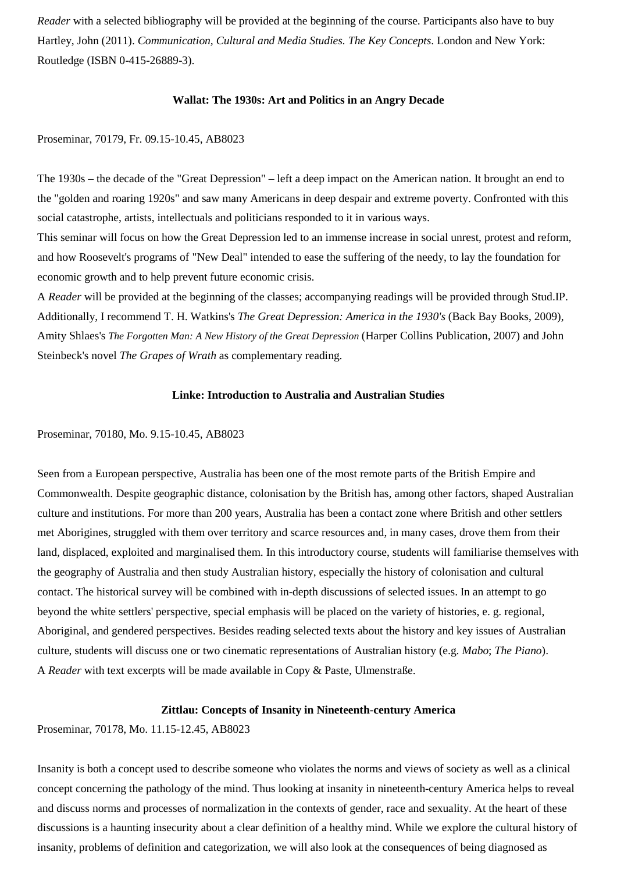*Reader* with a selected bibliography will be provided at the beginning of the course. Participants also have to buy Hartley, John (2011). *Communication, Cultural and Media Studies. The Key Concepts*. London and New York: Routledge (ISBN 0-415-26889-3).

## **Wallat: The 1930s: Art and Politics in an Angry Decade**

## Proseminar, 70179, Fr. 09.15-10.45, AB8023

The 1930s – the decade of the "Great Depression" – left a deep impact on the American nation. It brought an end to the "golden and roaring 1920s" and saw many Americans in deep despair and extreme poverty. Confronted with this social catastrophe, artists, intellectuals and politicians responded to it in various ways.

This seminar will focus on how the Great Depression led to an immense increase in social unrest, protest and reform, and how Roosevelt's programs of "New Deal" intended to ease the suffering of the needy, to lay the foundation for economic growth and to help prevent future economic crisis.

A *Reader* will be provided at the beginning of the classes; accompanying readings will be provided through Stud.IP. Additionally, I recommend T. H. Watkins's *The Great Depression: America in the 1930's* (Back Bay Books, 2009), Amity Shlaes's *The Forgotten Man: A New History of the Great Depression* (Harper Collins Publication, 2007) and John Steinbeck's novel *The Grapes of Wrath* as complementary reading.

### **Linke: Introduction to Australia and Australian Studies**

### Proseminar, 70180, Mo. 9.15-10.45, AB8023

Seen from a European perspective, Australia has been one of the most remote parts of the British Empire and Commonwealth. Despite geographic distance, colonisation by the British has, among other factors, shaped Australian culture and institutions. For more than 200 years, Australia has been a contact zone where British and other settlers met Aborigines, struggled with them over territory and scarce resources and, in many cases, drove them from their land, displaced, exploited and marginalised them. In this introductory course, students will familiarise themselves with the geography of Australia and then study Australian history, especially the history of colonisation and cultural contact. The historical survey will be combined with in-depth discussions of selected issues. In an attempt to go beyond the white settlers' perspective, special emphasis will be placed on the variety of histories, e. g. regional, Aboriginal, and gendered perspectives. Besides reading selected texts about the history and key issues of Australian culture, students will discuss one or two cinematic representations of Australian history (e.g. *Mabo*; *The Piano*). A *Reader* with text excerpts will be made available in Copy & Paste, Ulmenstraße.

### **Zittlau: Concepts of Insanity in Nineteenth-century America**

Proseminar, 70178, Mo. 11.15-12.45, AB8023

Insanity is both a concept used to describe someone who violates the norms and views of society as well as a clinical concept concerning the pathology of the mind. Thus looking at insanity in nineteenth-century America helps to reveal and discuss norms and processes of normalization in the contexts of gender, race and sexuality. At the heart of these discussions is a haunting insecurity about a clear definition of a healthy mind. While we explore the cultural history of insanity, problems of definition and categorization, we will also look at the consequences of being diagnosed as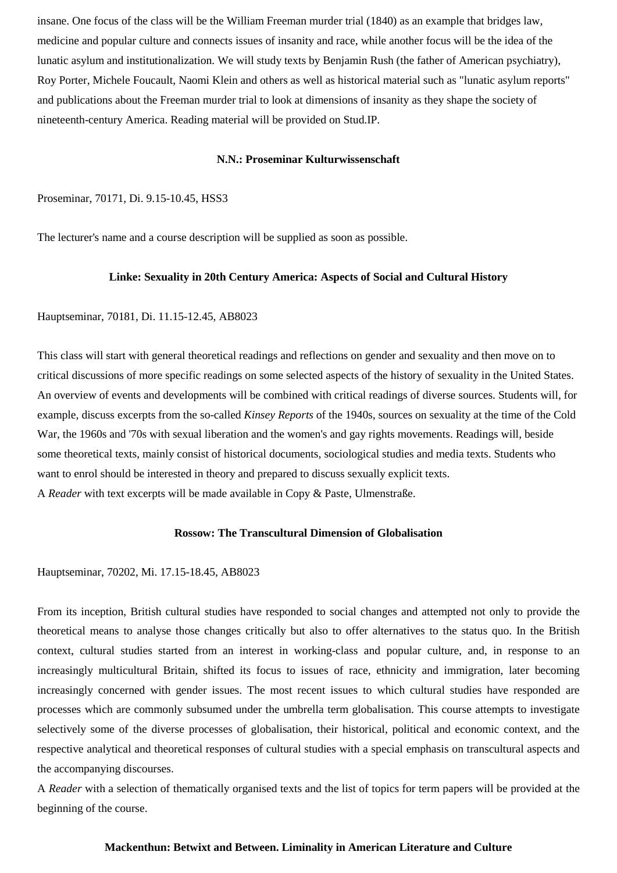insane. One focus of the class will be the William Freeman murder trial (1840) as an example that bridges law, medicine and popular culture and connects issues of insanity and race, while another focus will be the idea of the lunatic asylum and institutionalization. We will study texts by Benjamin Rush (the father of American psychiatry), Roy Porter, Michele Foucault, Naomi Klein and others as well as historical material such as "lunatic asylum reports" and publications about the Freeman murder trial to look at dimensions of insanity as they shape the society of nineteenth-century America. Reading material will be provided on Stud.IP.

#### **N.N.: Proseminar Kulturwissenschaft**

# Proseminar, 70171, Di. 9.15-10.45, HSS3

The lecturer's name and a course description will be supplied as soon as possible.

## **Linke: Sexuality in 20th Century America: Aspects of Social and Cultural History**

### Hauptseminar, 70181, Di. 11.15-12.45, AB8023

This class will start with general theoretical readings and reflections on gender and sexuality and then move on to critical discussions of more specific readings on some selected aspects of the history of sexuality in the United States. An overview of events and developments will be combined with critical readings of diverse sources. Students will, for example, discuss excerpts from the so-called *Kinsey Reports* of the 1940s, sources on sexuality at the time of the Cold War, the 1960s and '70s with sexual liberation and the women's and gay rights movements. Readings will, beside some theoretical texts, mainly consist of historical documents, sociological studies and media texts. Students who want to enrol should be interested in theory and prepared to discuss sexually explicit texts. A *Reader* with text excerpts will be made available in Copy & Paste, Ulmenstraße.

#### **Rossow: The Transcultural Dimension of Globalisation**

### Hauptseminar, 70202, Mi. 17.15-18.45, AB8023

From its inception, British cultural studies have responded to social changes and attempted not only to provide the theoretical means to analyse those changes critically but also to offer alternatives to the status quo. In the British context, cultural studies started from an interest in working-class and popular culture, and, in response to an increasingly multicultural Britain, shifted its focus to issues of race, ethnicity and immigration, later becoming increasingly concerned with gender issues. The most recent issues to which cultural studies have responded are processes which are commonly subsumed under the umbrella term globalisation. This course attempts to investigate selectively some of the diverse processes of globalisation, their historical, political and economic context, and the respective analytical and theoretical responses of cultural studies with a special emphasis on transcultural aspects and the accompanying discourses.

A *Reader* with a selection of thematically organised texts and the list of topics for term papers will be provided at the beginning of the course.

#### **Mackenthun: Betwixt and Between. Liminality in American Literature and Culture**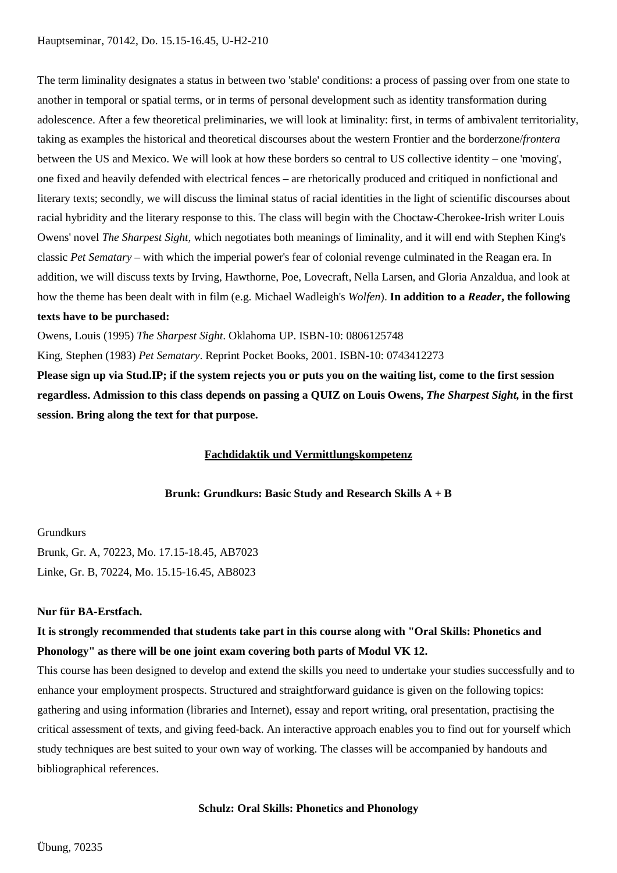The term liminality designates a status in between two 'stable' conditions: a process of passing over from one state to another in temporal or spatial terms, or in terms of personal development such as identity transformation during adolescence. After a few theoretical preliminaries, we will look at liminality: first, in terms of ambivalent territoriality, taking as examples the historical and theoretical discourses about the western Frontier and the borderzone/*frontera* between the US and Mexico. We will look at how these borders so central to US collective identity – one 'moving', one fixed and heavily defended with electrical fences – are rhetorically produced and critiqued in nonfictional and literary texts; secondly, we will discuss the liminal status of racial identities in the light of scientific discourses about racial hybridity and the literary response to this. The class will begin with the Choctaw-Cherokee-Irish writer Louis Owens' novel *The Sharpest Sight*, which negotiates both meanings of liminality, and it will end with Stephen King's classic *Pet Sematary* – with which the imperial power's fear of colonial revenge culminated in the Reagan era. In addition, we will discuss texts by Irving, Hawthorne, Poe, Lovecraft, Nella Larsen, and Gloria Anzaldua, and look at how the theme has been dealt with in film (e.g. Michael Wadleigh's *Wolfen*). **In addition to a** *Reader***, the following** 

# **texts have to be purchased:**

Owens, Louis (1995) *The Sharpest Sight*. Oklahoma UP. ISBN-10: 0806125748 King, Stephen (1983) *Pet Sematary*. Reprint Pocket Books, 2001. ISBN-10: 0743412273

<span id="page-12-0"></span>**Please sign up via Stud.IP; if the system rejects you or puts you on the waiting list, come to the first session regardless. Admission to this class depends on passing a QUIZ on Louis Owens,** *The Sharpest Sight,* **in the first session. Bring along the text for that purpose.**

## **Fachdidaktik und Vermittlungskompetenz**

**Brunk: Grundkurs: Basic Study and Research Skills A + B**

## Grundkurs

Brunk, Gr. A, 70223, Mo. 17.15-18.45, AB7023 Linke, Gr. B, 70224, Mo. 15.15-16.45, AB8023

## **Nur für BA-Erstfach.**

# **It is strongly recommended that students take part in this course along with "Oral Skills: Phonetics and Phonology" as there will be one joint exam covering both parts of Modul VK 12.**

This course has been designed to develop and extend the skills you need to undertake your studies successfully and to enhance your employment prospects. Structured and straightforward guidance is given on the following topics: gathering and using information (libraries and Internet), essay and report writing, oral presentation, practising the critical assessment of texts, and giving feed-back. An interactive approach enables you to find out for yourself which study techniques are best suited to your own way of working. The classes will be accompanied by handouts and bibliographical references.

## **Schulz: Oral Skills: Phonetics and Phonology**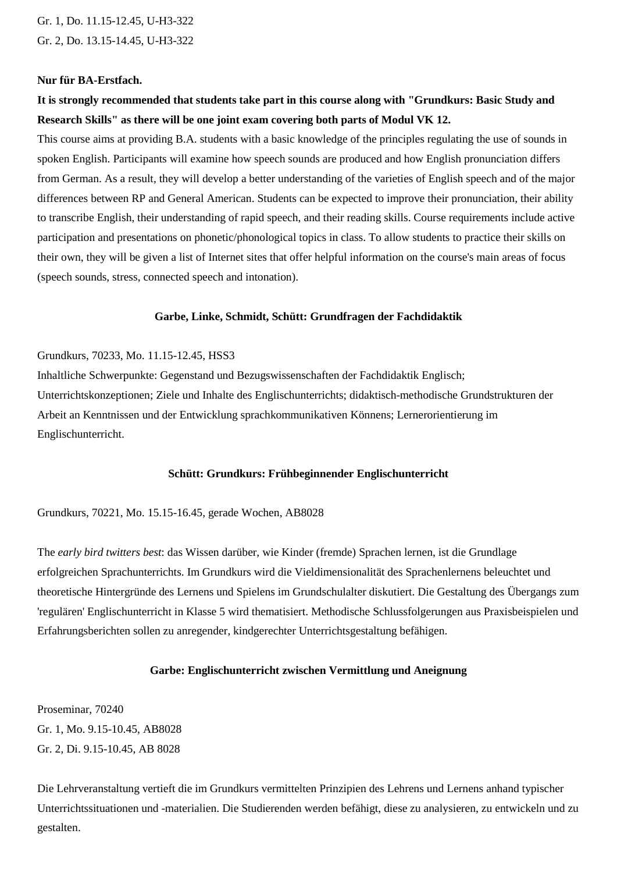Gr. 1, Do. 11.15-12.45, U-H3-322 Gr. 2, Do. 13.15-14.45, U-H3-322

### **Nur für BA-Erstfach.**

# **It is strongly recommended that students take part in this course along with "Grundkurs: Basic Study and Research Skills" as there will be one joint exam covering both parts of Modul VK 12.**

This course aims at providing B.A. students with a basic knowledge of the principles regulating the use of sounds in spoken English. Participants will examine how speech sounds are produced and how English pronunciation differs from German. As a result, they will develop a better understanding of the varieties of English speech and of the major differences between RP and General American. Students can be expected to improve their pronunciation, their ability to transcribe English, their understanding of rapid speech, and their reading skills. Course requirements include active participation and presentations on phonetic/phonological topics in class. To allow students to practice their skills on their own, they will be given a list of Internet sites that offer helpful information on the course's main areas of focus (speech sounds, stress, connected speech and intonation).

# **Garbe, Linke, Schmidt, Schütt: Grundfragen der Fachdidaktik**

## Grundkurs, 70233, Mo. 11.15-12.45, HSS3

Inhaltliche Schwerpunkte: Gegenstand und Bezugswissenschaften der Fachdidaktik Englisch; Unterrichtskonzeptionen; Ziele und Inhalte des Englischunterrichts; didaktisch-methodische Grundstrukturen der Arbeit an Kenntnissen und der Entwicklung sprachkommunikativen Könnens; Lernerorientierung im Englischunterricht.

### **Schütt: Grundkurs: Frühbeginnender Englischunterricht**

Grundkurs, 70221, Mo. 15.15-16.45, gerade Wochen, AB8028

The *early bird twitters best*: das Wissen darüber, wie Kinder (fremde) Sprachen lernen, ist die Grundlage erfolgreichen Sprachunterrichts. Im Grundkurs wird die Vieldimensionalität des Sprachenlernens beleuchtet und theoretische Hintergründe des Lernens und Spielens im Grundschulalter diskutiert. Die Gestaltung des Übergangs zum 'regulären' Englischunterricht in Klasse 5 wird thematisiert. Methodische Schlussfolgerungen aus Praxisbeispielen und Erfahrungsberichten sollen zu anregender, kindgerechter Unterrichtsgestaltung befähigen.

# **Garbe: Englischunterricht zwischen Vermittlung und Aneignung**

Proseminar, 70240 Gr. 1, Mo. 9.15-10.45, AB8028 Gr. 2, Di. 9.15-10.45, AB 8028

Die Lehrveranstaltung vertieft die im Grundkurs vermittelten Prinzipien des Lehrens und Lernens anhand typischer Unterrichtssituationen und -materialien. Die Studierenden werden befähigt, diese zu analysieren, zu entwickeln und zu gestalten.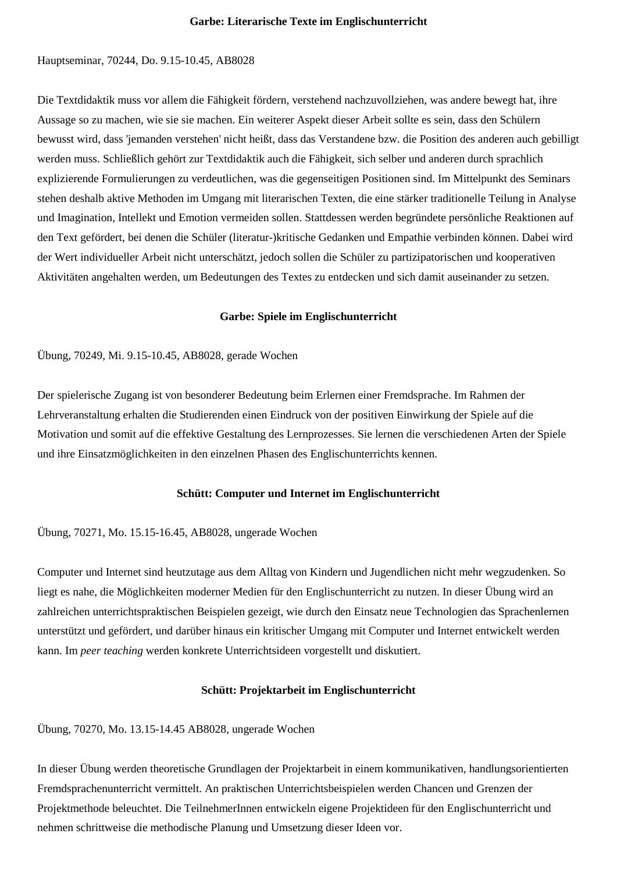### **Garbe: Literarische Texte im Englischunterricht**

## Hauptseminar, 70244, Do. 9.15-10.45, AB8028

Die Textdidaktik muss vor allem die Fähigkeit fördern, verstehend nachzuvollziehen, was andere bewegt hat, ihre Aussage so zu machen, wie sie sie machen. Ein weiterer Aspekt dieser Arbeit sollte es sein, dass den Schülern bewusst wird, dass 'jemanden verstehen' nicht heißt, dass das Verstandene bzw. die Position des anderen auch gebilligt werden muss. Schließlich gehört zur Textdidaktik auch die Fähigkeit, sich selber und anderen durch sprachlich explizierende Formulierungen zu verdeutlichen, was die gegenseitigen Positionen sind. Im Mittelpunkt des Seminars stehen deshalb aktive Methoden im Umgang mit literarischen Texten, die eine stärker traditionelle Teilung in Analyse und Imagination, Intellekt und Emotion vermeiden sollen. Stattdessen werden begründete persönliche Reaktionen auf den Text gefördert, bei denen die Schüler (literatur-)kritische Gedanken und Empathie verbinden können. Dabei wird der Wert individueller Arbeit nicht unterschätzt, jedoch sollen die Schüler zu partizipatorischen und kooperativen Aktivitäten angehalten werden, um Bedeutungen des Textes zu entdecken und sich damit auseinander zu setzen.

### **Garbe: Spiele im Englischunterricht**

## Übung, 70249, Mi. 9.15-10.45, AB8028, gerade Wochen

Der spielerische Zugang ist von besonderer Bedeutung beim Erlernen einer Fremdsprache. Im Rahmen der Lehrveranstaltung erhalten die Studierenden einen Eindruck von der positiven Einwirkung der Spiele auf die Motivation und somit auf die effektive Gestaltung des Lernprozesses. Sie lernen die verschiedenen Arten der Spiele und ihre Einsatzmöglichkeiten in den einzelnen Phasen des Englischunterrichts kennen.

# **Schütt: Computer und Internet im Englischunterricht**

Übung, 70271, Mo. 15.15-16.45, AB8028, ungerade Wochen

Computer und Internet sind heutzutage aus dem Alltag von Kindern und Jugendlichen nicht mehr wegzudenken. So liegt es nahe, die Möglichkeiten moderner Medien für den Englischunterricht zu nutzen. In dieser Übung wird an zahlreichen unterrichtspraktischen Beispielen gezeigt, wie durch den Einsatz neue Technologien das Sprachenlernen unterstützt und gefördert, und darüber hinaus ein kritischer Umgang mit Computer und Internet entwickelt werden kann. Im *peer teaching* werden konkrete Unterrichtsideen vorgestellt und diskutiert.

# **Schütt: Projektarbeit im Englischunterricht**

Übung, 70270, Mo. 13.15-14.45 AB8028, ungerade Wochen

In dieser Übung werden theoretische Grundlagen der Projektarbeit in einem kommunikativen, handlungsorientierten Fremdsprachenunterricht vermittelt. An praktischen Unterrichtsbeispielen werden Chancen und Grenzen der Projektmethode beleuchtet. Die TeilnehmerInnen entwickeln eigene Projektideen für den Englischunterricht und nehmen schrittweise die methodische Planung und Umsetzung dieser Ideen vor.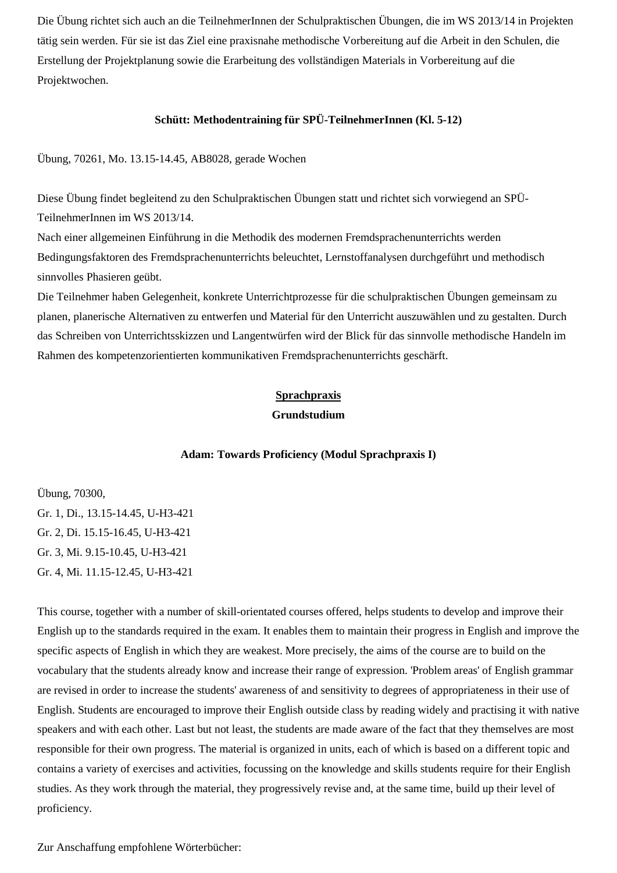Die Übung richtet sich auch an die TeilnehmerInnen der Schulpraktischen Übungen, die im WS 2013/14 in Projekten tätig sein werden. Für sie ist das Ziel eine praxisnahe methodische Vorbereitung auf die Arbeit in den Schulen, die Erstellung der Projektplanung sowie die Erarbeitung des vollständigen Materials in Vorbereitung auf die Projektwochen.

# **Schütt: Methodentraining für SPÜ-TeilnehmerInnen (Kl. 5-12)**

Übung, 70261, Mo. 13.15-14.45, AB8028, gerade Wochen

Diese Übung findet begleitend zu den Schulpraktischen Übungen statt und richtet sich vorwiegend an SPÜ-TeilnehmerInnen im WS 2013/14.

Nach einer allgemeinen Einführung in die Methodik des modernen Fremdsprachenunterrichts werden Bedingungsfaktoren des Fremdsprachenunterrichts beleuchtet, Lernstoffanalysen durchgeführt und methodisch sinnvolles Phasieren geübt.

<span id="page-15-0"></span>Die Teilnehmer haben Gelegenheit, konkrete Unterrichtprozesse für die schulpraktischen Übungen gemeinsam zu planen, planerische Alternativen zu entwerfen und Material für den Unterricht auszuwählen und zu gestalten. Durch das Schreiben von Unterrichtsskizzen und Langentwürfen wird der Blick für das sinnvolle methodische Handeln im Rahmen des kompetenzorientierten kommunikativen Fremdsprachenunterrichts geschärft.

## **Sprachpraxis**

### **Grundstudium**

### **Adam: Towards Proficiency (Modul Sprachpraxis I)**

<span id="page-15-1"></span>Übung, 70300, Gr. 1, Di., 13.15-14.45, U-H3-421 Gr. 2, Di. 15.15-16.45, U-H3-421 Gr. 3, Mi. 9.15-10.45, U-H3-421 Gr. 4, Mi. 11.15-12.45, U-H3-421

This course, together with a number of skill-orientated courses offered, helps students to develop and improve their English up to the standards required in the exam. It enables them to maintain their progress in English and improve the specific aspects of English in which they are weakest. More precisely, the aims of the course are to build on the vocabulary that the students already know and increase their range of expression. 'Problem areas' of English grammar are revised in order to increase the students' awareness of and sensitivity to degrees of appropriateness in their use of English. Students are encouraged to improve their English outside class by reading widely and practising it with native speakers and with each other. Last but not least, the students are made aware of the fact that they themselves are most responsible for their own progress. The material is organized in units, each of which is based on a different topic and contains a variety of exercises and activities, focussing on the knowledge and skills students require for their English studies. As they work through the material, they progressively revise and, at the same time, build up their level of proficiency.

Zur Anschaffung empfohlene Wörterbücher: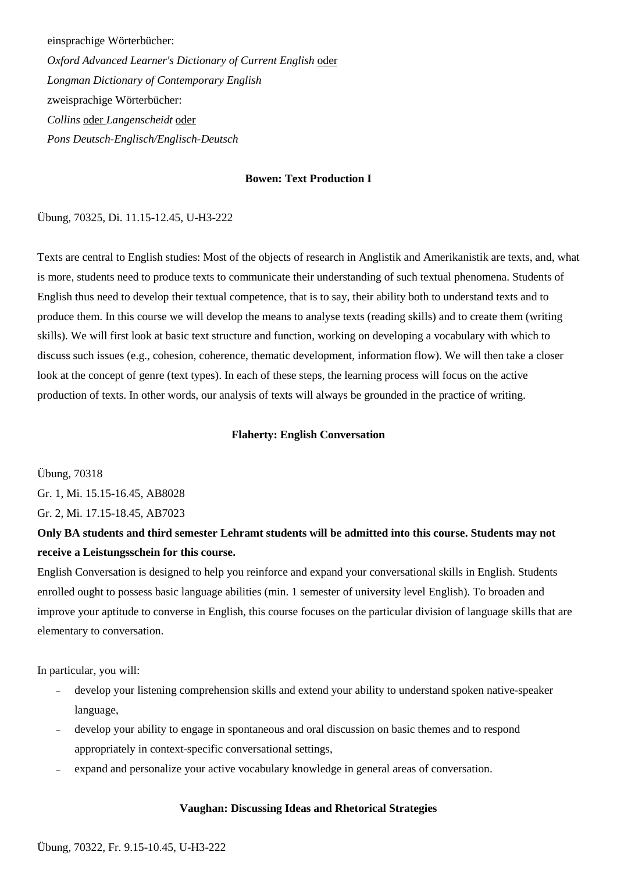einsprachige Wörterbücher:

*Oxford Advanced Learner's Dictionary of Current English* oder *Longman Dictionary of Contemporary English* zweisprachige Wörterbücher: *Collins* oder *Langenscheidt* oder *Pons Deutsch-Englisch/Englisch-Deutsch*

# **Bowen: Text Production I**

Übung, 70325, Di. 11.15-12.45, U-H3-222

Texts are central to English studies: Most of the objects of research in Anglistik and Amerikanistik are texts, and, what is more, students need to produce texts to communicate their understanding of such textual phenomena. Students of English thus need to develop their textual competence, that is to say, their ability both to understand texts and to produce them. In this course we will develop the means to analyse texts (reading skills) and to create them (writing skills). We will first look at basic text structure and function, working on developing a vocabulary with which to discuss such issues (e.g., cohesion, coherence, thematic development, information flow). We will then take a closer look at the concept of genre (text types). In each of these steps, the learning process will focus on the active production of texts. In other words, our analysis of texts will always be grounded in the practice of writing.

# **Flaherty: English Conversation**

Übung, 70318

Gr. 1, Mi. 15.15-16.45, AB8028

Gr. 2, Mi. 17.15-18.45, AB7023

# **Only BA students and third semester Lehramt students will be admitted into this course. Students may not receive a Leistungsschein for this course.**

English Conversation is designed to help you reinforce and expand your conversational skills in English. Students enrolled ought to possess basic language abilities (min. 1 semester of university level English). To broaden and improve your aptitude to converse in English, this course focuses on the particular division of language skills that are elementary to conversation.

In particular, you will:

- − develop your listening comprehension skills and extend your ability to understand spoken native-speaker language,
- − develop your ability to engage in spontaneous and oral discussion on basic themes and to respond appropriately in context-specific conversational settings,
- expand and personalize your active vocabulary knowledge in general areas of conversation.

### **Vaughan: Discussing Ideas and Rhetorical Strategies**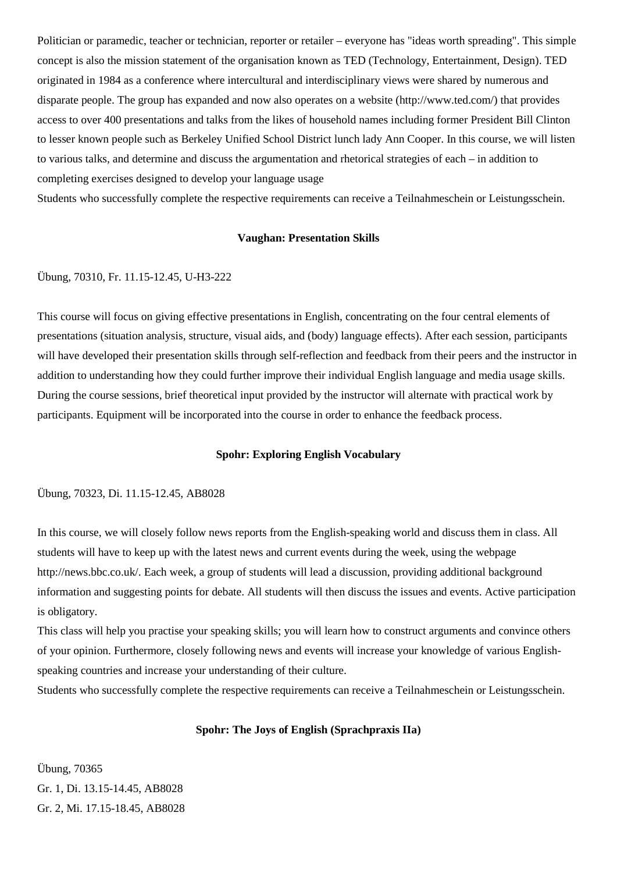Politician or paramedic, teacher or technician, reporter or retailer – everyone has "ideas worth spreading". This simple concept is also the mission statement of the organisation known as TED (Technology, Entertainment, Design). TED originated in 1984 as a conference where intercultural and interdisciplinary views were shared by numerous and disparate people. The group has expanded and now also operates on a website (http://www.ted.com/) that provides access to over 400 presentations and talks from the likes of household names including former President Bill Clinton to lesser known people such as Berkeley Unified School District lunch lady Ann Cooper. In this course, we will listen to various talks, and determine and discuss the argumentation and rhetorical strategies of each – in addition to completing exercises designed to develop your language usage

Students who successfully complete the respective requirements can receive a Teilnahmeschein or Leistungsschein.

### **Vaughan: Presentation Skills**

### Übung, 70310, Fr. 11.15-12.45, U-H3-222

This course will focus on giving effective presentations in English, concentrating on the four central elements of presentations (situation analysis, structure, visual aids, and (body) language effects). After each session, participants will have developed their presentation skills through self-reflection and feedback from their peers and the instructor in addition to understanding how they could further improve their individual English language and media usage skills. During the course sessions, brief theoretical input provided by the instructor will alternate with practical work by participants. Equipment will be incorporated into the course in order to enhance the feedback process.

### **Spohr: Exploring English Vocabulary**

# Übung, 70323, Di. 11.15-12.45, AB8028

In this course, we will closely follow news reports from the English-speaking world and discuss them in class. All students will have to keep up with the latest news and current events during the week, using the webpage http://news.bbc.co.uk/. Each week, a group of students will lead a discussion, providing additional background information and suggesting points for debate. All students will then discuss the issues and events. Active participation is obligatory.

This class will help you practise your speaking skills; you will learn how to construct arguments and convince others of your opinion. Furthermore, closely following news and events will increase your knowledge of various Englishspeaking countries and increase your understanding of their culture.

Students who successfully complete the respective requirements can receive a Teilnahmeschein or Leistungsschein.

## **Spohr: The Joys of English (Sprachpraxis IIa)**

Übung, 70365 Gr. 1, Di. 13.15-14.45, AB8028 Gr. 2, Mi. 17.15-18.45, AB8028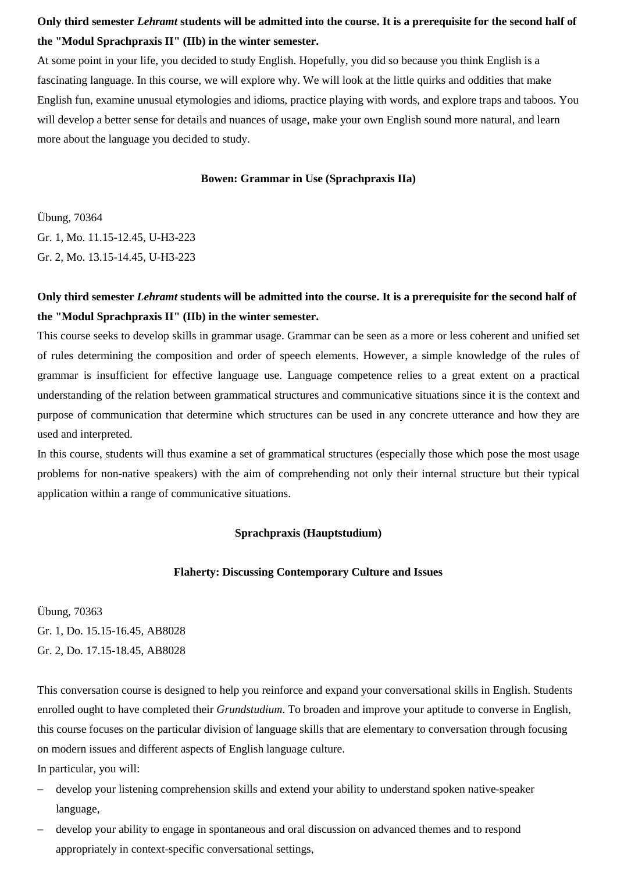# **Only third semester** *Lehramt* **students will be admitted into the course. It is a prerequisite for the second half of the "Modul Sprachpraxis II" (IIb) in the winter semester.**

At some point in your life, you decided to study English. Hopefully, you did so because you think English is a fascinating language. In this course, we will explore why. We will look at the little quirks and oddities that make English fun, examine unusual etymologies and idioms, practice playing with words, and explore traps and taboos. You will develop a better sense for details and nuances of usage, make your own English sound more natural, and learn more about the language you decided to study.

## **Bowen: Grammar in Use (Sprachpraxis IIa)**

Übung, 70364 Gr. 1, Mo. 11.15-12.45, U-H3-223 Gr. 2, Mo. 13.15-14.45, U-H3-223

# **Only third semester** *Lehramt* **students will be admitted into the course. It is a prerequisite for the second half of the "Modul Sprachpraxis II" (IIb) in the winter semester.**

This course seeks to develop skills in grammar usage. Grammar can be seen as a more or less coherent and unified set of rules determining the composition and order of speech elements. However, a simple knowledge of the rules of grammar is insufficient for effective language use. Language competence relies to a great extent on a practical understanding of the relation between grammatical structures and communicative situations since it is the context and purpose of communication that determine which structures can be used in any concrete utterance and how they are used and interpreted.

<span id="page-18-0"></span>In this course, students will thus examine a set of grammatical structures (especially those which pose the most usage problems for non-native speakers) with the aim of comprehending not only their internal structure but their typical application within a range of communicative situations.

### **Sprachpraxis (Hauptstudium)**

# **Flaherty: Discussing Contemporary Culture and Issues**

Übung, 70363 Gr. 1, Do. 15.15-16.45, AB8028 Gr. 2, Do. 17.15-18.45, AB8028

This conversation course is designed to help you reinforce and expand your conversational skills in English. Students enrolled ought to have completed their *Grundstudium*. To broaden and improve your aptitude to converse in English, this course focuses on the particular division of language skills that are elementary to conversation through focusing on modern issues and different aspects of English language culture.

In particular, you will:

- − develop your listening comprehension skills and extend your ability to understand spoken native-speaker language,
- − develop your ability to engage in spontaneous and oral discussion on advanced themes and to respond appropriately in context-specific conversational settings,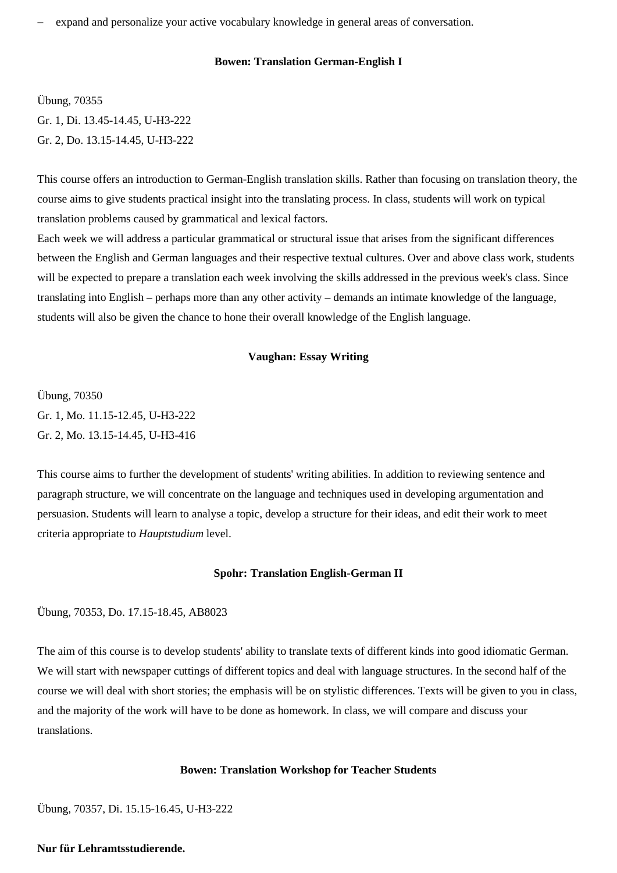expand and personalize your active vocabulary knowledge in general areas of conversation.

# **Bowen: Translation German-English I**

Übung, 70355 Gr. 1, Di. 13.45-14.45, U-H3-222 Gr. 2, Do. 13.15-14.45, U-H3-222

This course offers an introduction to German-English translation skills. Rather than focusing on translation theory, the course aims to give students practical insight into the translating process. In class, students will work on typical translation problems caused by grammatical and lexical factors.

Each week we will address a particular grammatical or structural issue that arises from the significant differences between the English and German languages and their respective textual cultures. Over and above class work, students will be expected to prepare a translation each week involving the skills addressed in the previous week's class. Since translating into English – perhaps more than any other activity – demands an intimate knowledge of the language, students will also be given the chance to hone their overall knowledge of the English language.

## **Vaughan: Essay Writing**

Übung, 70350 Gr. 1, Mo. 11.15-12.45, U-H3-222 Gr. 2, Mo. 13.15-14.45, U-H3-416

This course aims to further the development of students' writing abilities. In addition to reviewing sentence and paragraph structure, we will concentrate on the language and techniques used in developing argumentation and persuasion. Students will learn to analyse a topic, develop a structure for their ideas, and edit their work to meet criteria appropriate to *Hauptstudium* level.

### **Spohr: Translation English-German II**

Übung, 70353, Do. 17.15-18.45, AB8023

The aim of this course is to develop students' ability to translate texts of different kinds into good idiomatic German. We will start with newspaper cuttings of different topics and deal with language structures. In the second half of the course we will deal with short stories; the emphasis will be on stylistic differences. Texts will be given to you in class, and the majority of the work will have to be done as homework. In class, we will compare and discuss your translations.

### **Bowen: Translation Workshop for Teacher Students**

Übung, 70357, Di. 15.15-16.45, U-H3-222

**Nur für Lehramtsstudierende.**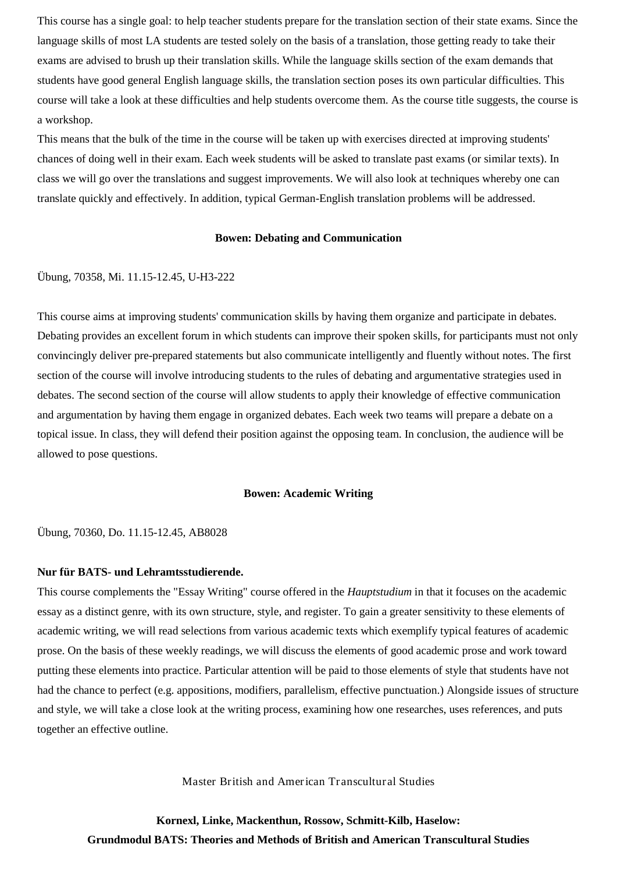This course has a single goal: to help teacher students prepare for the translation section of their state exams. Since the language skills of most LA students are tested solely on the basis of a translation, those getting ready to take their exams are advised to brush up their translation skills. While the language skills section of the exam demands that students have good general English language skills, the translation section poses its own particular difficulties. This course will take a look at these difficulties and help students overcome them. As the course title suggests, the course is a workshop.

This means that the bulk of the time in the course will be taken up with exercises directed at improving students' chances of doing well in their exam. Each week students will be asked to translate past exams (or similar texts). In class we will go over the translations and suggest improvements. We will also look at techniques whereby one can translate quickly and effectively. In addition, typical German-English translation problems will be addressed.

### **Bowen: Debating and Communication**

### Übung, 70358, Mi. 11.15-12.45, U-H3-222

This course aims at improving students' communication skills by having them organize and participate in debates. Debating provides an excellent forum in which students can improve their spoken skills, for participants must not only convincingly deliver pre-prepared statements but also communicate intelligently and fluently without notes. The first section of the course will involve introducing students to the rules of debating and argumentative strategies used in debates. The second section of the course will allow students to apply their knowledge of effective communication and argumentation by having them engage in organized debates. Each week two teams will prepare a debate on a topical issue. In class, they will defend their position against the opposing team. In conclusion, the audience will be allowed to pose questions.

## **Bowen: Academic Writing**

Übung, 70360, Do. 11.15-12.45, AB8028

### **Nur für BATS- und Lehramtsstudierende.**

This course complements the "Essay Writing" course offered in the *Hauptstudium* in that it focuses on the academic essay as a distinct genre, with its own structure, style, and register. To gain a greater sensitivity to these elements of academic writing, we will read selections from various academic texts which exemplify typical features of academic prose. On the basis of these weekly readings, we will discuss the elements of good academic prose and work toward putting these elements into practice. Particular attention will be paid to those elements of style that students have not had the chance to perfect (e.g. appositions, modifiers, parallelism, effective punctuation.) Alongside issues of structure and style, we will take a close look at the writing process, examining how one researches, uses references, and puts together an effective outline.

Master British and American Transcultural Studies

<span id="page-20-0"></span>**Kornexl, Linke, Mackenthun, Rossow, Schmitt-Kilb, Haselow: Grundmodul BATS: Theories and Methods of British and American Transcultural Studies**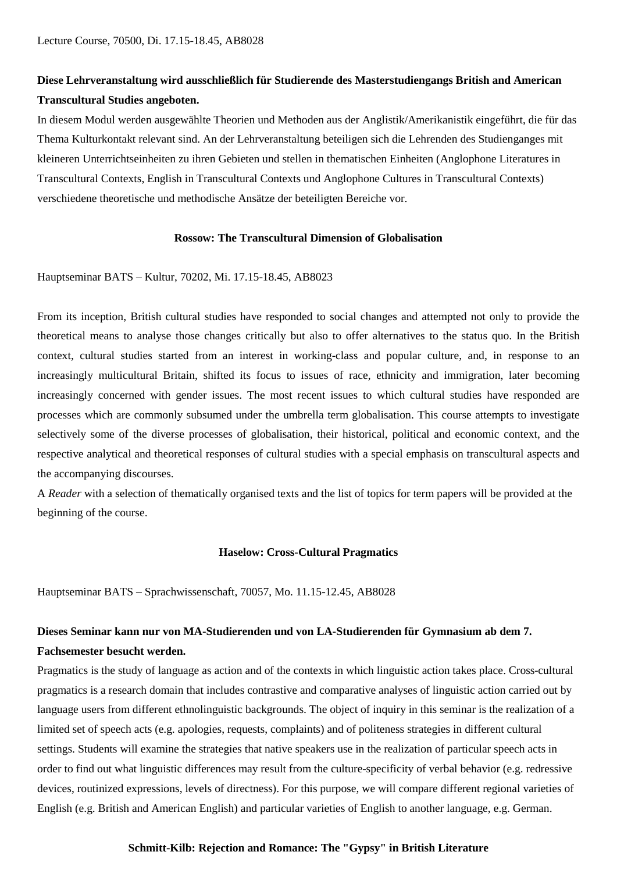# **Diese Lehrveranstaltung wird ausschließlich für Studierende des Masterstudiengangs British and American Transcultural Studies angeboten.**

In diesem Modul werden ausgewählte Theorien und Methoden aus der Anglistik/Amerikanistik eingeführt, die für das Thema Kulturkontakt relevant sind. An der Lehrveranstaltung beteiligen sich die Lehrenden des Studienganges mit kleineren Unterrichtseinheiten zu ihren Gebieten und stellen in thematischen Einheiten (Anglophone Literatures in Transcultural Contexts, English in Transcultural Contexts und Anglophone Cultures in Transcultural Contexts) verschiedene theoretische und methodische Ansätze der beteiligten Bereiche vor.

## **Rossow: The Transcultural Dimension of Globalisation**

Hauptseminar BATS – Kultur, 70202, Mi. 17.15-18.45, AB8023

From its inception, British cultural studies have responded to social changes and attempted not only to provide the theoretical means to analyse those changes critically but also to offer alternatives to the status quo. In the British context, cultural studies started from an interest in working-class and popular culture, and, in response to an increasingly multicultural Britain, shifted its focus to issues of race, ethnicity and immigration, later becoming increasingly concerned with gender issues. The most recent issues to which cultural studies have responded are processes which are commonly subsumed under the umbrella term globalisation. This course attempts to investigate selectively some of the diverse processes of globalisation, their historical, political and economic context, and the respective analytical and theoretical responses of cultural studies with a special emphasis on transcultural aspects and the accompanying discourses.

A *Reader* with a selection of thematically organised texts and the list of topics for term papers will be provided at the beginning of the course.

### **Haselow: Cross-Cultural Pragmatics**

Hauptseminar BATS – Sprachwissenschaft, 70057, Mo. 11.15-12.45, AB8028

# **Dieses Seminar kann nur von MA-Studierenden und von LA-Studierenden für Gymnasium ab dem 7. Fachsemester besucht werden.**

Pragmatics is the study of language as action and of the contexts in which linguistic action takes place. Cross-cultural pragmatics is a research domain that includes contrastive and comparative analyses of linguistic action carried out by language users from different ethnolinguistic backgrounds. The object of inquiry in this seminar is the realization of a limited set of speech acts (e.g. apologies, requests, complaints) and of politeness strategies in different cultural settings. Students will examine the strategies that native speakers use in the realization of particular speech acts in order to find out what linguistic differences may result from the culture-specificity of verbal behavior (e.g. redressive devices, routinized expressions, levels of directness). For this purpose, we will compare different regional varieties of English (e.g. British and American English) and particular varieties of English to another language, e.g. German.

# **Schmitt-Kilb: Rejection and Romance: The "Gypsy" in British Literature**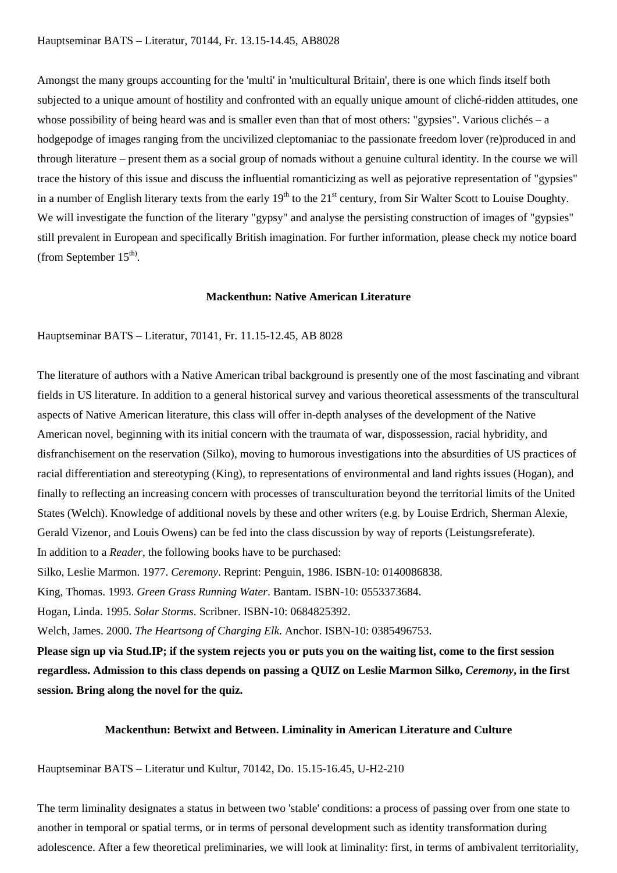Amongst the many groups accounting for the 'multi' in 'multicultural Britain', there is one which finds itself both subjected to a unique amount of hostility and confronted with an equally unique amount of cliché-ridden attitudes, one whose possibility of being heard was and is smaller even than that of most others: "gypsies". Various clichés – a hodgepodge of images ranging from the uncivilized cleptomaniac to the passionate freedom lover (re)produced in and through literature – present them as a social group of nomads without a genuine cultural identity. In the course we will trace the history of this issue and discuss the influential romanticizing as well as pejorative representation of "gypsies" in a number of English literary texts from the early  $19<sup>th</sup>$  to the  $21<sup>st</sup>$  century, from Sir Walter Scott to Louise Doughty. We will investigate the function of the literary "gypsy" and analyse the persisting construction of images of "gypsies" still prevalent in European and specifically British imagination. For further information, please check my notice board (from September  $15<sup>th</sup>$ ).

#### **Mackenthun: Native American Literature**

## Hauptseminar BATS – Literatur, 70141, Fr. 11.15-12.45, AB 8028

The literature of authors with a Native American tribal background is presently one of the most fascinating and vibrant fields in US literature. In addition to a general historical survey and various theoretical assessments of the transcultural aspects of Native American literature, this class will offer in-depth analyses of the development of the Native American novel, beginning with its initial concern with the traumata of war, dispossession, racial hybridity, and disfranchisement on the reservation (Silko), moving to humorous investigations into the absurdities of US practices of racial differentiation and stereotyping (King), to representations of environmental and land rights issues (Hogan), and finally to reflecting an increasing concern with processes of transculturation beyond the territorial limits of the United States (Welch). Knowledge of additional novels by these and other writers (e.g. by Louise Erdrich, Sherman Alexie, Gerald Vizenor, and Louis Owens) can be fed into the class discussion by way of reports (Leistungsreferate). In addition to a *Reader*, the following books have to be purchased:

Silko, Leslie Marmon. 1977. *Ceremony*. Reprint: Penguin, 1986. ISBN-10: 0140086838.

King, Thomas. 1993. *Green Grass Running Water*. Bantam. ISBN-10: 0553373684.

Hogan, Linda. 1995. *Solar Storms*. Scribner. ISBN-10: 0684825392.

Welch, James. 2000. *The Heartsong of Charging Elk*. Anchor. ISBN-10: 0385496753.

**Please sign up via Stud.IP; if the system rejects you or puts you on the waiting list, come to the first session regardless. Admission to this class depends on passing a QUIZ on Leslie Marmon Silko,** *Ceremony***, in the first session***.* **Bring along the novel for the quiz.**

## **Mackenthun: Betwixt and Between. Liminality in American Literature and Culture**

Hauptseminar BATS – Literatur und Kultur, 70142, Do. 15.15-16.45, U-H2-210

The term liminality designates a status in between two 'stable' conditions: a process of passing over from one state to another in temporal or spatial terms, or in terms of personal development such as identity transformation during adolescence. After a few theoretical preliminaries, we will look at liminality: first, in terms of ambivalent territoriality,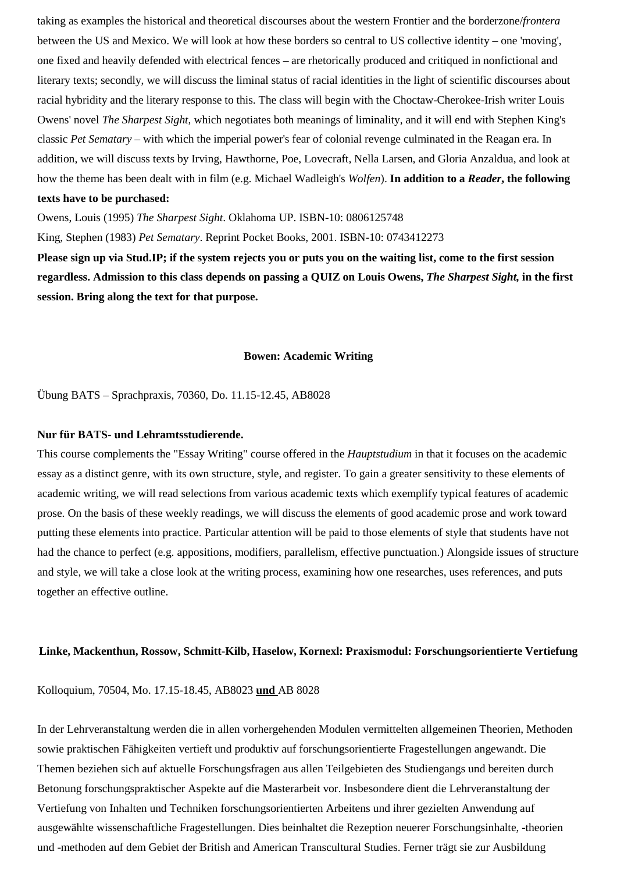taking as examples the historical and theoretical discourses about the western Frontier and the borderzone/*frontera* between the US and Mexico. We will look at how these borders so central to US collective identity – one 'moving', one fixed and heavily defended with electrical fences – are rhetorically produced and critiqued in nonfictional and literary texts; secondly, we will discuss the liminal status of racial identities in the light of scientific discourses about racial hybridity and the literary response to this. The class will begin with the Choctaw-Cherokee-Irish writer Louis Owens' novel *The Sharpest Sight*, which negotiates both meanings of liminality, and it will end with Stephen King's classic *Pet Sematary* – with which the imperial power's fear of colonial revenge culminated in the Reagan era. In addition, we will discuss texts by Irving, Hawthorne, Poe, Lovecraft, Nella Larsen, and Gloria Anzaldua, and look at how the theme has been dealt with in film (e.g. Michael Wadleigh's *Wolfen*). **In addition to a** *Reader***, the following texts have to be purchased:**

Owens, Louis (1995) *The Sharpest Sight*. Oklahoma UP. ISBN-10: 0806125748

King, Stephen (1983) *Pet Sematary*. Reprint Pocket Books, 2001. ISBN-10: 0743412273

**Please sign up via Stud.IP; if the system rejects you or puts you on the waiting list, come to the first session regardless. Admission to this class depends on passing a QUIZ on Louis Owens,** *The Sharpest Sight,* **in the first session. Bring along the text for that purpose.**

#### **Bowen: Academic Writing**

Übung BATS – Sprachpraxis, 70360, Do. 11.15-12.45, AB8028

#### **Nur für BATS- und Lehramtsstudierende.**

This course complements the "Essay Writing" course offered in the *Hauptstudium* in that it focuses on the academic essay as a distinct genre, with its own structure, style, and register. To gain a greater sensitivity to these elements of academic writing, we will read selections from various academic texts which exemplify typical features of academic prose. On the basis of these weekly readings, we will discuss the elements of good academic prose and work toward putting these elements into practice. Particular attention will be paid to those elements of style that students have not had the chance to perfect (e.g. appositions, modifiers, parallelism, effective punctuation.) Alongside issues of structure and style, we will take a close look at the writing process, examining how one researches, uses references, and puts together an effective outline.

#### **Linke, Mackenthun, Rossow, Schmitt-Kilb, Haselow, Kornexl: Praxismodul: Forschungsorientierte Vertiefung**

Kolloquium, 70504, Mo. 17.15-18.45, AB8023 **und** AB 8028

In der Lehrveranstaltung werden die in allen vorhergehenden Modulen vermittelten allgemeinen Theorien, Methoden sowie praktischen Fähigkeiten vertieft und produktiv auf forschungsorientierte Fragestellungen angewandt. Die Themen beziehen sich auf aktuelle Forschungsfragen aus allen Teilgebieten des Studiengangs und bereiten durch Betonung forschungspraktischer Aspekte auf die Masterarbeit vor. Insbesondere dient die Lehrveranstaltung der Vertiefung von Inhalten und Techniken forschungsorientierten Arbeitens und ihrer gezielten Anwendung auf ausgewählte wissenschaftliche Fragestellungen. Dies beinhaltet die Rezeption neuerer Forschungsinhalte, -theorien und -methoden auf dem Gebiet der British and American Transcultural Studies. Ferner trägt sie zur Ausbildung